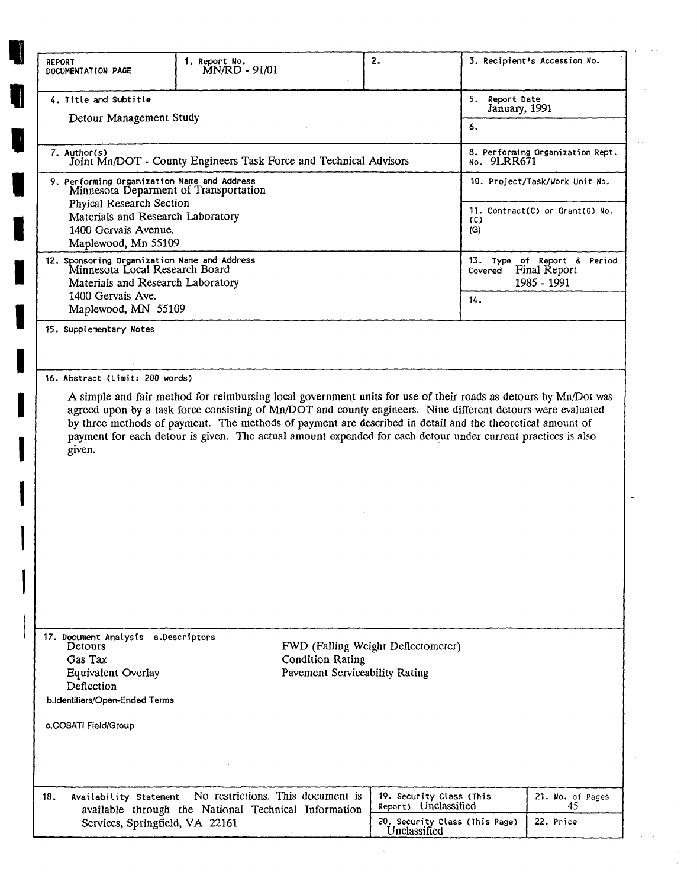| <b>REPORT</b><br>DOCUMENTATION PAGE                                                                                                                               | 1. Report No.<br>MN/RD - 91/01                                                                                                                                                                                                                                                                                                                                                                                                                               |                         | 2.                                                                                                 | 3. Recipient's Accession No.       |                                                            |
|-------------------------------------------------------------------------------------------------------------------------------------------------------------------|--------------------------------------------------------------------------------------------------------------------------------------------------------------------------------------------------------------------------------------------------------------------------------------------------------------------------------------------------------------------------------------------------------------------------------------------------------------|-------------------------|----------------------------------------------------------------------------------------------------|------------------------------------|------------------------------------------------------------|
| 4. Title and Subtitle<br>Detour Management Study                                                                                                                  |                                                                                                                                                                                                                                                                                                                                                                                                                                                              |                         |                                                                                                    | 5.<br>Report Date<br>January, 1991 |                                                            |
|                                                                                                                                                                   |                                                                                                                                                                                                                                                                                                                                                                                                                                                              |                         |                                                                                                    | 6.                                 |                                                            |
| 7. Author(s)                                                                                                                                                      | Joint Mn/DOT - County Engineers Task Force and Technical Advisors                                                                                                                                                                                                                                                                                                                                                                                            |                         |                                                                                                    | No. 9LRR671                        | 8. Performing Organization Rept.                           |
| 9. Performing Organization Name and Address<br>Minnesota Deparment of Transportation                                                                              |                                                                                                                                                                                                                                                                                                                                                                                                                                                              |                         |                                                                                                    |                                    | 10. Project/Task/Work Unit No.                             |
| <b>Phyical Research Section</b><br>Materials and Research Laboratory<br>1400 Gervais Avenue.<br>Maplewood, Mn 55109                                               |                                                                                                                                                                                                                                                                                                                                                                                                                                                              |                         |                                                                                                    | (C)<br>(G)                         | 11. Contract(C) or Grant(G) No.                            |
| 12. Sponsoring Organization Name and Address<br>Minnesota Local Research Board<br>Materials and Research Laboratory                                               |                                                                                                                                                                                                                                                                                                                                                                                                                                                              |                         |                                                                                                    | Covered                            | 13. Type of Report & Period<br>Final Report<br>1985 - 1991 |
| 1400 Gervais Ave.<br>Maplewood, MN 55109                                                                                                                          |                                                                                                                                                                                                                                                                                                                                                                                                                                                              |                         |                                                                                                    | 14.                                |                                                            |
| 15. Supplementary Notes                                                                                                                                           |                                                                                                                                                                                                                                                                                                                                                                                                                                                              |                         |                                                                                                    |                                    |                                                            |
| 16. Abstract (Limit: 200 words)                                                                                                                                   |                                                                                                                                                                                                                                                                                                                                                                                                                                                              |                         |                                                                                                    |                                    |                                                            |
|                                                                                                                                                                   | A simple and fair method for reimbursing local government units for use of their roads as detours by Mn/Dot was<br>agreed upon by a task force consisting of Mn/DOT and county engineers. Nine different detours were evaluated<br>by three methods of payment. The methods of payment are described in detail and the theoretical amount of<br>payment for each detour is given. The actual amount expended for each detour under current practices is also |                         |                                                                                                    |                                    |                                                            |
| given.                                                                                                                                                            |                                                                                                                                                                                                                                                                                                                                                                                                                                                              |                         |                                                                                                    |                                    |                                                            |
|                                                                                                                                                                   |                                                                                                                                                                                                                                                                                                                                                                                                                                                              |                         |                                                                                                    |                                    |                                                            |
|                                                                                                                                                                   |                                                                                                                                                                                                                                                                                                                                                                                                                                                              |                         |                                                                                                    |                                    |                                                            |
|                                                                                                                                                                   |                                                                                                                                                                                                                                                                                                                                                                                                                                                              |                         |                                                                                                    |                                    |                                                            |
|                                                                                                                                                                   |                                                                                                                                                                                                                                                                                                                                                                                                                                                              |                         |                                                                                                    |                                    |                                                            |
|                                                                                                                                                                   |                                                                                                                                                                                                                                                                                                                                                                                                                                                              |                         |                                                                                                    |                                    |                                                            |
|                                                                                                                                                                   |                                                                                                                                                                                                                                                                                                                                                                                                                                                              |                         |                                                                                                    |                                    |                                                            |
| Detours<br>Gas Tax<br>Equivalent Overlay                                                                                                                          |                                                                                                                                                                                                                                                                                                                                                                                                                                                              | <b>Condition Rating</b> | FWD (Falling Weight Deflectometer)<br>Pavement Serviceability Rating                               |                                    |                                                            |
| Deflection                                                                                                                                                        |                                                                                                                                                                                                                                                                                                                                                                                                                                                              |                         |                                                                                                    |                                    |                                                            |
|                                                                                                                                                                   |                                                                                                                                                                                                                                                                                                                                                                                                                                                              |                         |                                                                                                    |                                    |                                                            |
|                                                                                                                                                                   |                                                                                                                                                                                                                                                                                                                                                                                                                                                              |                         |                                                                                                    |                                    |                                                            |
|                                                                                                                                                                   |                                                                                                                                                                                                                                                                                                                                                                                                                                                              |                         |                                                                                                    |                                    |                                                            |
| 17. Document Analysis a.Descriptors<br>b.Identifiers/Open-Ended Terms<br>c.COSATI Field/Group<br>18.<br>Availability Statement<br>Services, Springfield, VA 22161 | No restrictions. This document is<br>available through the National Technical Information                                                                                                                                                                                                                                                                                                                                                                    |                         | 19. Security Class (This<br>Report) Unclassified<br>20. Security Class (This Page)<br>Unclassified |                                    | 21. No. of Pages<br>45<br>22. Price                        |

 $\sim$ 

a sala

 $\langle \ldots \rangle$ 

 $\mathcal{A}_{\mathcal{A}}$ 

 $\frac{1}{2}$ 

 $\frac{1}{\sqrt{2}}$ 

 $\sim$   $\sim$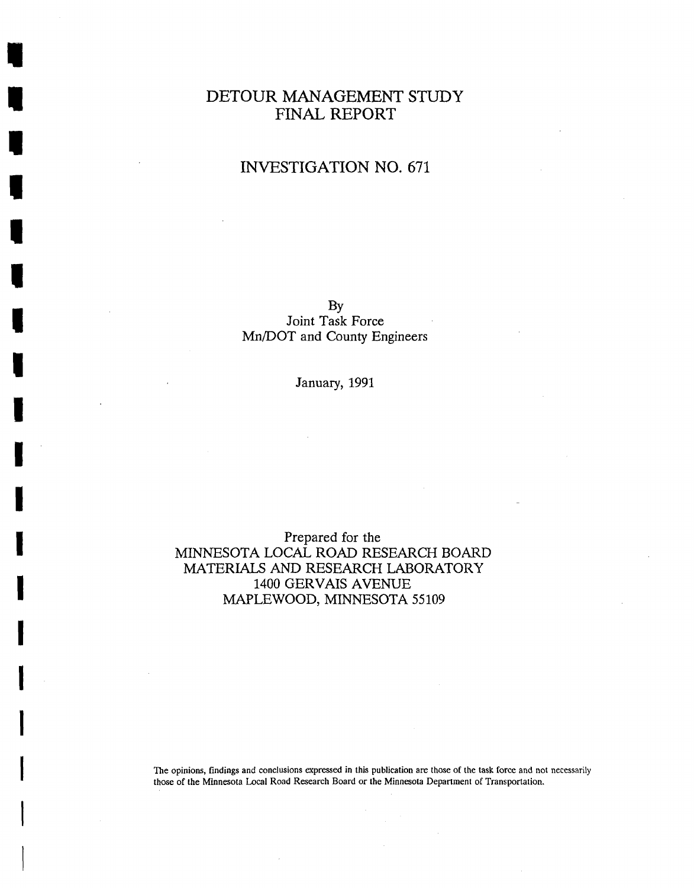### DETOUR MANAGEMENT STUDY FINAL REPORT

## INVESTIGATION NO. 671

BY Joint Task Force Mn/DOT and County Engineers

January, 1991

#### Prepared for the MINNESOTA LOCAL ROAD RESEARCH BOARD MATERIALS AND RESEARCH LABORATORY 1400 GERVAIS AVENUE MAPLEWOOD, MINNESOTA 55109

The opinions, findings and conclusions expressed in this publication are those **of** the task force and not necessarily those of the Minnesota Local Road Research Board or the Minnesota Department of Transportation.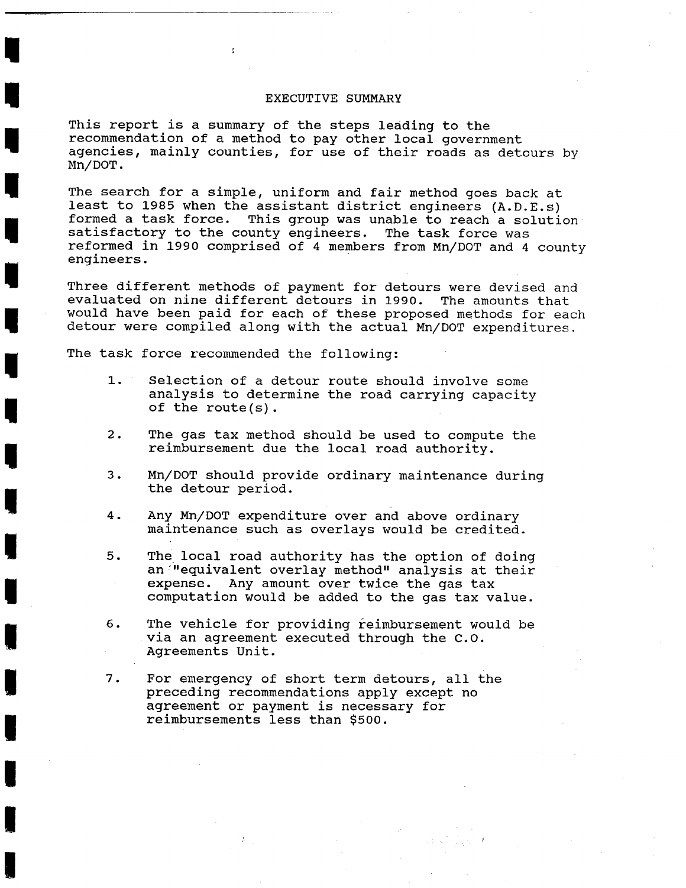#### EXECUTIVE SUMMARY

This report is a summary of the steps leading to the recommendation of a method to pay other local government agencies, mainly counties, for use of their roads as detours by Mn/DOT .

The search for a simple, uniform and fair method goes back at least to **1985** when the assistant district engineers (A.D.E.s) formed a task force. This group was unable to reach a solution. satisfactory to the county engineers. The task force was reformed in **1990** comprised of **4** members from Mn/DOT and 4 county engineers.

Three different methods of payment for detours were devised and evaluated on nine different detours in **1990.** The amounts that would have been paid for each of these proposed methods for each detour were compiled along with the actual Mn/DOT expenditures.

The task force recommended the following:

÷.

- **1.** Selection of a detour route should involve some analysis to determine the road carrying capacity of the route(s) .
- 2. The gas tax method should be used to compute the reimbursement due the local road authority.
- 3. Mn/DOT should provide ordinary maintenance during the detour period.
- **4.** Any Mn/DOT expenditure over and above ordinary maintenance such as overlays would be credited.
- 5. The local road authority has the option of doing an "equivalent overlay method" analysis at their expense. Any amount over twice the gas tax computation would be added to the gas tax value.
- 6. The vehicle for providing reimbursement would be via an agreement executed through the C.O. Agreements Unit.
- 7. For emergency of short term detours, all the preceding recommendations apply except no agreement or payment is necessary for reimbursements less than **\$500.**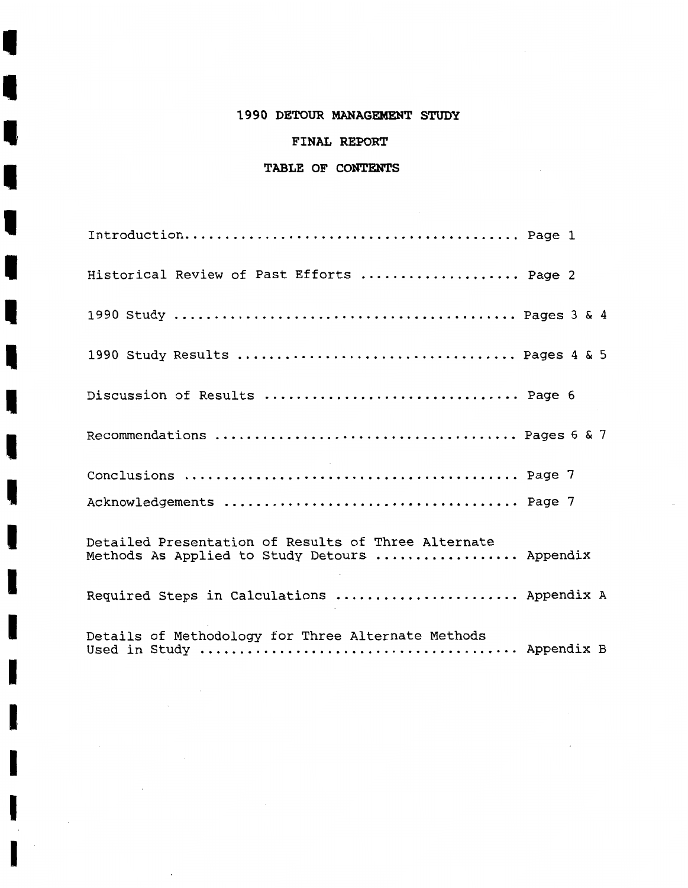#### **1990 DETOUR MANAGEMENT STUDY**

#### **FINAL REPORT**

#### **TABLE OF CONTENTS**

П

L

I

| Historical Review of Past Efforts  Page 2                                                            |
|------------------------------------------------------------------------------------------------------|
|                                                                                                      |
| 1990 Study Results  Pages 4 & 5                                                                      |
| Discussion of Results  Page 6                                                                        |
|                                                                                                      |
|                                                                                                      |
|                                                                                                      |
| Detailed Presentation of Results of Three Alternate<br>Methods As Applied to Study Detours  Appendix |
| Required Steps in Calculations  Appendix A                                                           |
| Details of Methodology for Three Alternate Methods                                                   |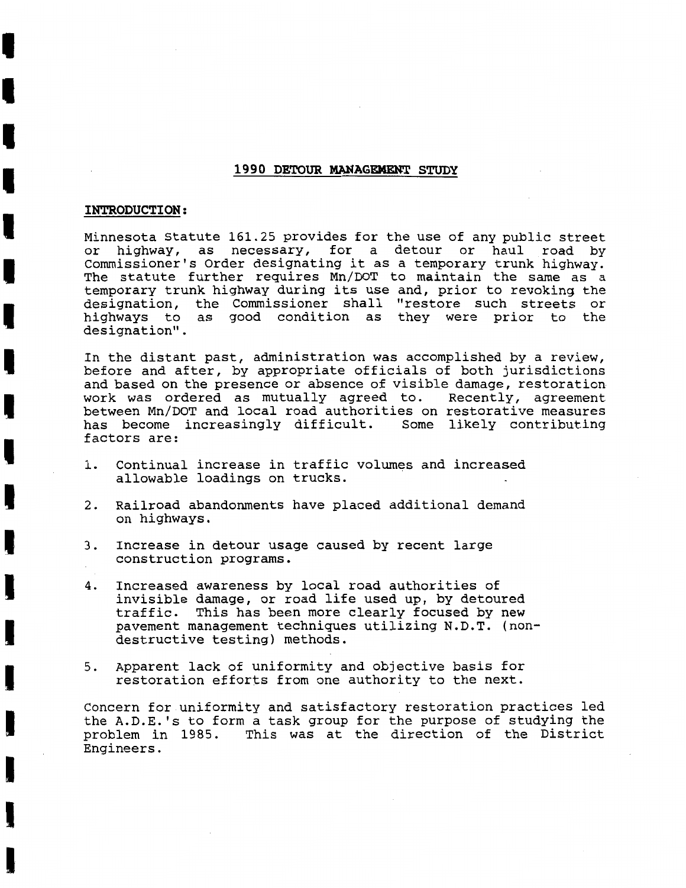#### **1990 DETOUR MANAGEKENT STUDY**

#### **INTRODUCTION:**

Minnesota Statute **161.25** provides for the use of any public street or highway, as necessary, for a detour or haul road by Commissioner's Order designating it as a temporary trunk highway. The statute further requires Mn/DOT to maintain the same as a temporary trunk highway during its use and, prior to revoking the designation, the Commissioner shall "restore such streets or highways to as good condition as they were prior to the designation".

In the distant past, administration was accomplished by a review, before and after, by appropriate officials of both jurisdictions and based on the presence or absence of visible damage, restoration work was ordered as mutually agreed to. Recently, agreement between Mn/DOT and local road authorities on restorative measures has become increasingly difficult. Some likely contributing factors are:

- 1. Continual increase in traffic volumes and increased allowable loadings on trucks.
- **2.** Railroad abandonments have placed additional demand on highways.
- 3. Increase in detour usage caused by recent large construction programs.
- 4. Increased awareness by local road authorities of invisible damage, or road life used up, by detoured traffic. This has been more clearly focused by new pavement management techniques utilizing N.D.T. (nondestructive testing) methods.
- 5. Apparent lack of uniformity and objective basis for restoration efforts from one authority to the next.

Concern for uniformity and satisfactory restoration practices led the A.D.E.'s to form a task group for the purpose of studying the problem in **1985.** This was at the direction of the District Engineers.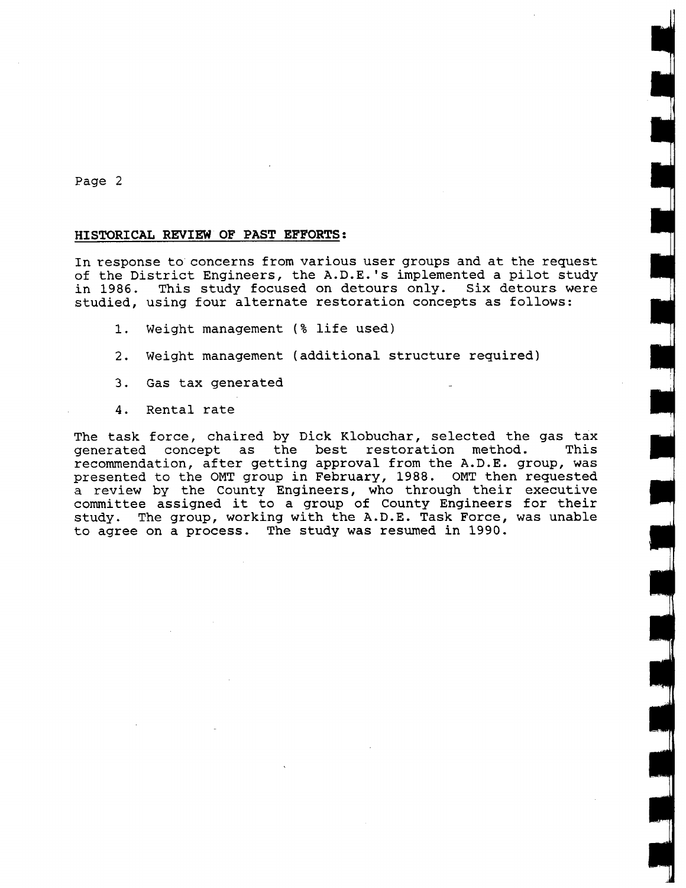#### **HISTORICAL REVIEW OF PAST EFFORTS:**

In response to concerns from various user groups and at the request of the District Engineers, the A.D.E.'s implemented a pilot study in **1986.** This study focused on detours only. Six detours were studied, using four alternate restoration concepts as follows:

- 1. Weight management (% life used)
- 2. Weight management (additional structure required)
- 3. Gas tax generated
- 4. Rental rate

The task force, chaired by Dick Klobuchar, selected the gas tax<br>generated concept as the best restoration method. This generated concept as the best restoration method. recommendation, after getting approval from the A.D.E. group, was presented to the OMT group in February, **1988.** OMT then requested a review by the County Engineers, who through their executive committee assigned it to a group of County Engineers for their study. The group, working with the A.D.E. Task Force, was unable to agree on a process. The study was resumed in **1990.**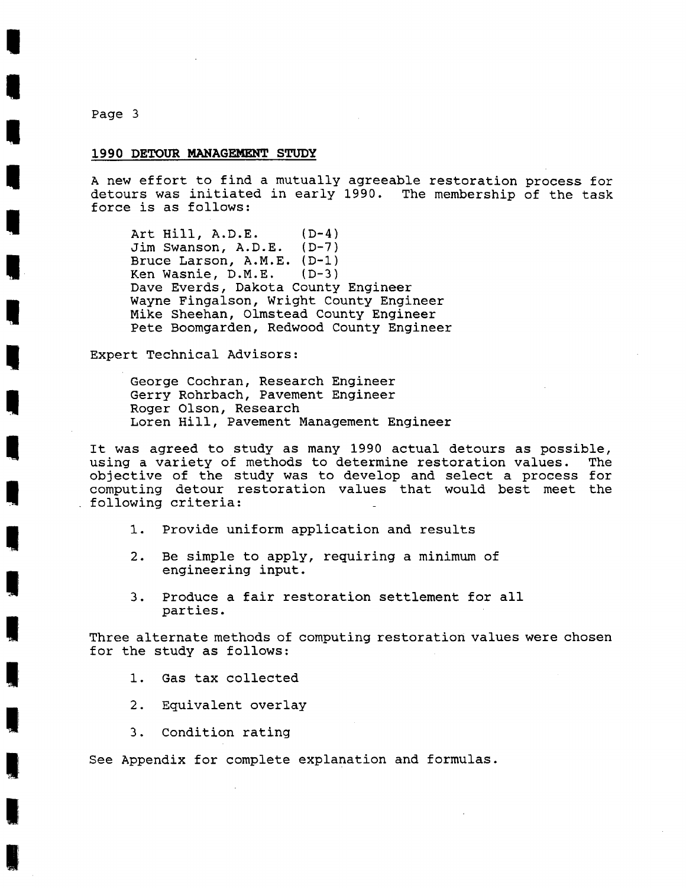#### **1990 DETOUR MANAGEMENT** *STUDY*

A new effort to find a mutually agreeable restoration process for detours was initiated in early 1990. The membership of the task force is as follows:

Art Hill, A.D.E. (D-4)<br>Jim Swanson, A.D.E. (D-7) Jim Swanson, A.D.E. Bruce Larson, A.M.E. (D-1)<br>Ken Wasnie, D.M.E. (D-3) Ken Wasnie, D.M.E. Dave Everds, Dakota County Engineer Wayne Fingalson, Wright County Engineer Mike Sheehan, Olmstead County Engineer Pete Boomgarden, Redwood County Engineer

Expert Technical Advisors:

George Cochran, Research Engineer Gerry Rohrbach, Pavement Engineer Roger Olson, Research Loren Hill, Pavement Management Engineer

It was agreed to study as many 1990 actual detours as possible, using a variety of methods to determine restoration values. The objective of the study was to develop and select a process for computing detour restoration values that would best meet the following criteria:

- 1. Provide uniform application and results
- 2. Be simple to apply, requiring a minimum of engineering input.
- 3. Produce a fair restoration settlement for all parties.

Three alternate methods of computing restoration values were chosen for the study as follows:

- 1. Gas tax collected
- 2. Equivalent overlay
- 3. Condition rating

See Appendix for complete explanation and formulas.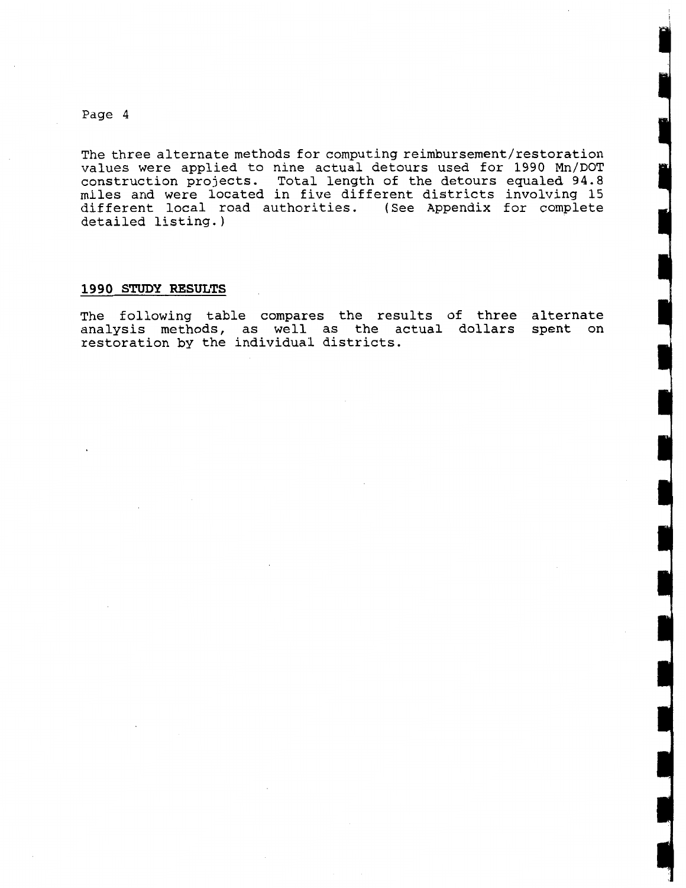The three alternate methods for computing **reimbursement/restoration**  values were applied to nine actual detours used for 1990 Mn/DOT construction projects. Total length of the detours equaled 94.8 miles and were located in five different districts involving 15 different local road authorities. (See Appendix for complete detailed listing.)

#### **1990 STUDY RESULTS**

The following table compares the results of three alternate analysis methods, as well as the actual dollars spent on restoration by the individual districts.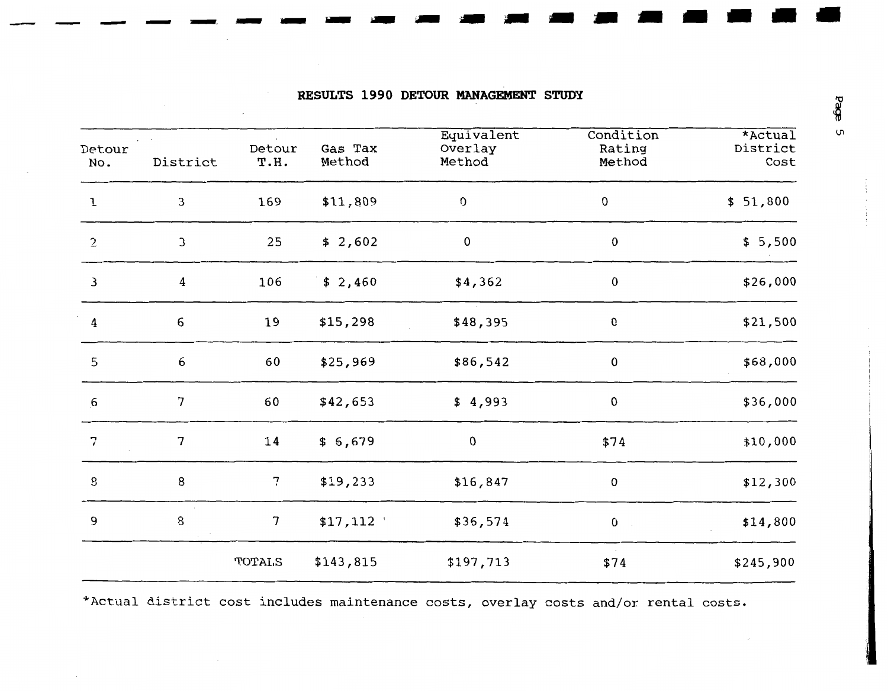| <b>RESULTS 1990 DETOUR MANAGEMENT STUDY</b> |  |  |  |  |  |
|---------------------------------------------|--|--|--|--|--|
|---------------------------------------------|--|--|--|--|--|

 $\sim 100$ 

| Detour<br>No.             | Detour<br>District<br>T.H. |                | Gas Tax<br>Method | Equivalent<br>Overlay<br>Method | Condition<br>Rating<br>Method | $*$ Actual<br>District<br>Cost |
|---------------------------|----------------------------|----------------|-------------------|---------------------------------|-------------------------------|--------------------------------|
| $\mathbf{1}$              | 3                          | 169            | \$11,809          | O                               | $\pmb{0}$                     | \$51,800                       |
| $\overline{2}$            | $\mathfrak{I}$             | 25             | \$2,602           | 0                               | $\pmb{0}$                     | \$5,500                        |
| 3                         | 4                          | 106            | \$2,460           | \$4,362                         | $\pmb{0}$                     | \$26,000                       |
| $\pmb{4}$                 | 6                          | 19             | \$15,298          | \$48,395                        | 0                             | \$21,500                       |
| 5                         | $\acute{\textrm{o}}$       | 60             | \$25,969          | \$86,542                        | $\pmb{0}$                     | \$68,000                       |
| $6\overline{6}$           | 7                          | 60             | \$42,653          | \$4,993                         | $\pmb{0}$                     | \$36,000                       |
| $\overline{7}$            | 7                          | 14             | \$6,679           | 0                               | \$74                          | \$10,000                       |
| $\boldsymbol{\mathsf{S}}$ | 8                          | 7              | \$19,233          | \$16,847                        | $\mathbf 0$                   | \$12,300                       |
| 9                         | $\bf 8$                    | $\overline{7}$ | \$17,112          | \$36,574                        | $\pmb{0}$                     | \$14,800                       |
|                           |                            | TOTALS         | \$143,815         | \$197,713                       | \$74                          | \$245,900                      |

\*Actual district cost includes maintenance costs, overlay costs and/or rental costs.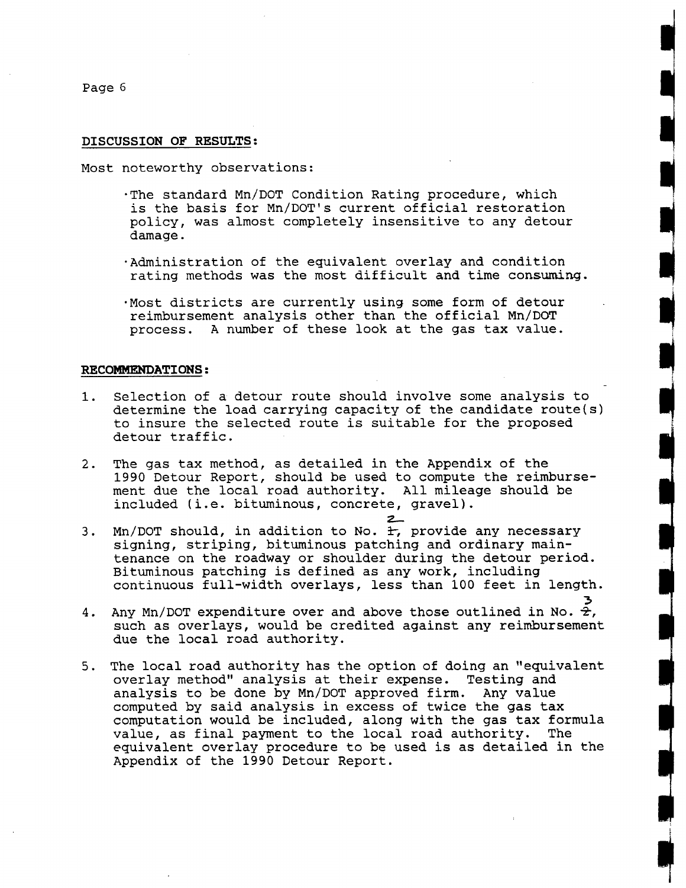#### **DISCUSSION OF RESULTS:**

Most noteworthy observations:

- .The standard Mn/DOT Condition Rating procedure, which is the basis for Mn/DOT's current official restoration policy, was almost completely insensitive to any detour damage.
- .Administration of the equivalent overlay and condition rating methods was the most difficult and time consuming.
- .Most districts are currently using some form of detour reimbursement analysis other than the official Mn/DOT process. A number of these look at the gas tax value.

#### **RECOMMENDATIONS:**

- 1. Selection of a detour route should involve some analysis to determine the load carrying capacity of the candidate route(s) to insure the selected route is suitable for the proposed detour traffic.
- 2. The gas tax method, as detailed in the Appendix of the 1990 Detour Report, should be used to compute the reimbursement due the local road authority. All mileage should be included (i.e. bituminous, concrete, gravel).<br> **3**<br>
Mn (DOT should in addition to No  $\pm$  provide a
- 3. Mn/DOT should, in addition to No. 1, provide any necessary signing, striping, bituminous patching and ordinary maintenance on the roadway or shoulder during the detour period. Bituminous patching is defined as any work, including continuous full-width overlays, less than 100 feet in length.
- **3 4.** Any Mn/DOT expenditure over and above those outlined in No.  $\frac{2}{T}$ , such as overlays, would be credited against any reimbursement due the local road authority.
- 5. The local road authority has the option of doing an "equivalent overlay method" analysis at their expense. Testing and analysis to be done by Mn/DOT approved firm. Any value computed by said analysis in excess of twice the gas tax computation would be included, along with the gas tax formula<br>value, as final payment to the local road authority. The value, as final payment to the local road authority. equivalent overlay procedure to be used is as detailed in the Appendix of the 1990 Detour Report.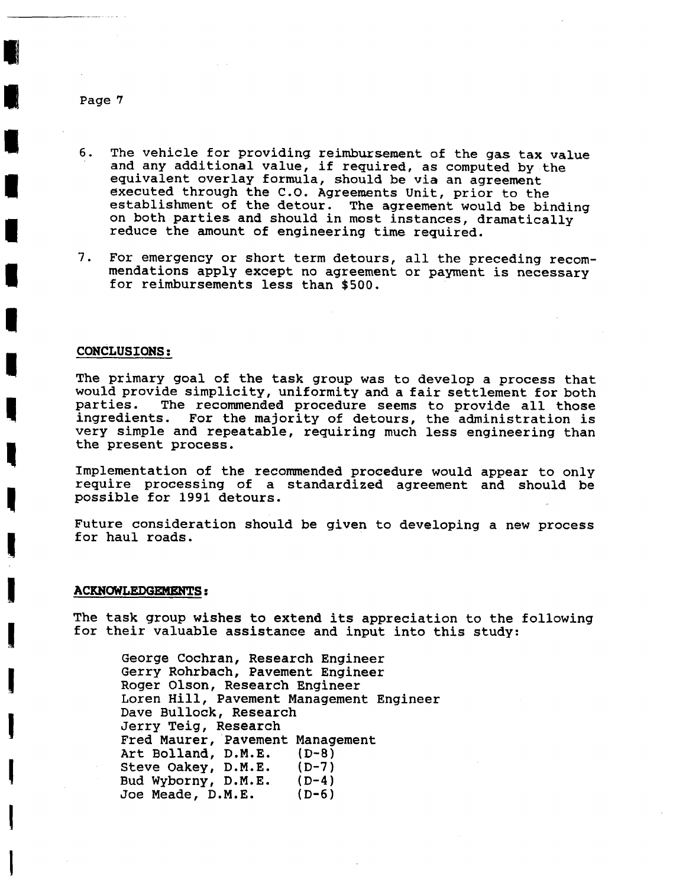- 6. The vehicle for providing reimbursement of the gas tax value and any additional value, if required, as computed by the equivalent overlay formula, should be via an agreement executed through the C.O. Agreements Unit, prior to the establishment of the detour. The agreement would be binding on both parties and should in most instances, dramatically reduce the amount of engineering time required.
- **7.** For emergency or short term detours, all the preceding recommendations apply except no agreement or payment is necessary for reimbursements less than \$500.

#### **CONCLUSIONS:**

The primary goal of the task group was to develop a process that would provide simplicity, uniformity and a fair settlement for both parties. The recommended procedure seems to provide all those The recommended procedure seems to provide all those ingredients. For the majority of detours, the administration is very simple and repeatable, requiring much less engineering than the present process.

Implementation of the recommended procedure would appear to only require processing of a standardized agreement and should be possible for 1991 detours.

Future consideration should be given to developing a new process for haul roads.

#### **ACKNOWLEDGEMENTS:**

The task group wishes to extend its appreciation to the following for their valuable assistance and input into this study:

George Cochran, Research Engineer Gerry Rohrbach, Pavement Engineer Roger Olson, Research Engineer Loren Hill, Pavement Management Engineer Dave Bullock, Research Jerry Teig, Research Fred Maurer, Pavement Management Art Bolland, D.M.E. (D-8) Steve Oakey, D.M.E. (D-7)<br>Bud Wyborny, D.M.E. (D-4) Bud Wyborny, D.M.E. (D-4)<br>Joe Meade. D.M.E. (D-6) Joe Meade, D.M.E.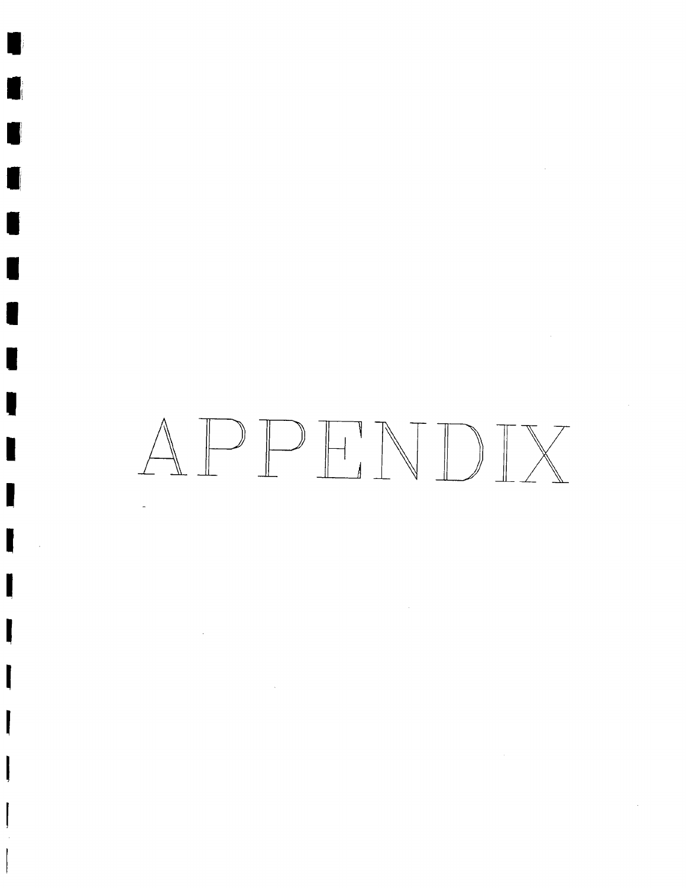# APPHNDIX

 $\mathcal{L}^{\mathcal{A}}$ 

 $\sim$   $\sim$ 

 $\sim$   $\sim$ 

 $\sim 10$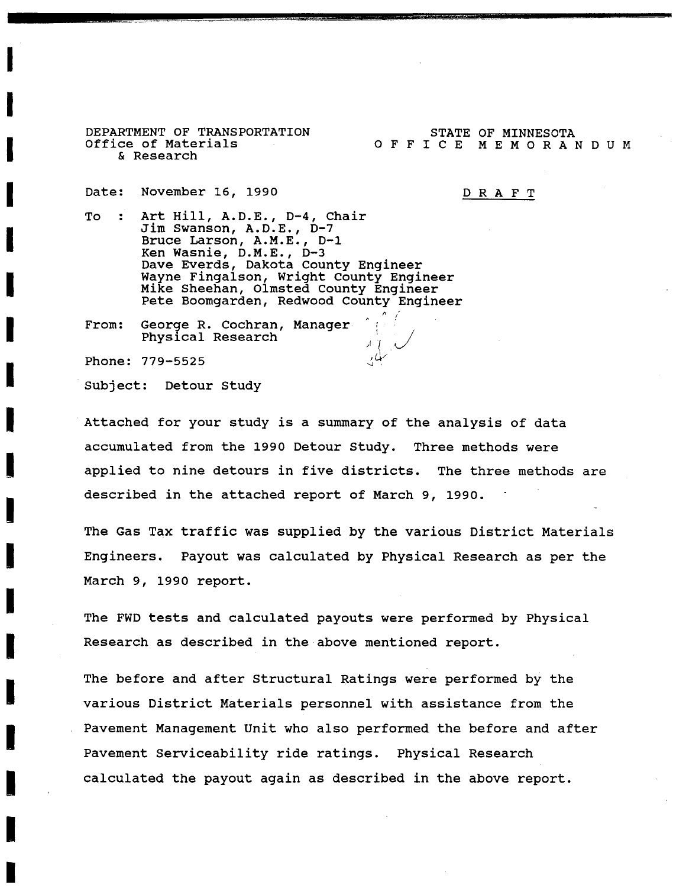**DEPARTMENT OF TRANSPORTATION<br>Office of Materials<br>& Research** & Research

STATE OF MINNESOTA OFFICE MEMORANDUM

Date: November 16, 1990<br>To : Art Hill, A.D.E.,

DRAFT

Art Hill, A.D.E., D-4, Chair<br>Jim Swanson, A.D.E., D-7 To: Art Hill, A.D.E., D-4, Channel<br>Jim Swanson, A.D.E., D-7<br>Bruce Larson, A.M.E., D-1<br>Ken Wasnie, D.M.E., D-3 Bruce Larson, A.M.E., D-1 Ken Wasnie, D.M.E., D-3 Dave Everds, Dakota County Engineer<br>
Wayne Fingalson, Wright County Engineer<br>
Mike Sheehan, Olmsted County Engineer<br>
Pete Boomgarden, Redwood County Engineer Wayne Fingalson, Wright County Engineer<br>Mike Sheehan, Olmsted County Engineer Pete Boomgarden, Redwood County Engineer

**I LEEE BOOMGATACH, REAWOOD COUNCY**<br> **I From:** George R. Cochran, Manager<br>
Physical Research Physical Research

Phone: 779-5525<br>
Subject: Detour Study<br> **Example:** Subject: Detour Study Subject: Detour Study

> **I** Attached for your study is a summary of the analysis of data accumulated from the 1990 Detour Study. Three methods were **1** applied to nine detours in five districts. The three methods are described in the attached report of March 9, 1990.

 $\frac{1}{\sqrt{2}}$ 

The Gas Tax traffic was supplied by the various District Materials **I** Engineers. Payout was calculated by Physical Research as per the March 9, 1990 report.

The FWD tests and calculated payouts were performed by Physical Research as described in the above mentioned report.

The before and after Structural Ratings were performed by the various District Materials personnel with assistance from the Pavement Management Unit who also performed the before and after Pavement Serviceability ride ratings. Physical Research **I** calculated the payout again as described in the above report.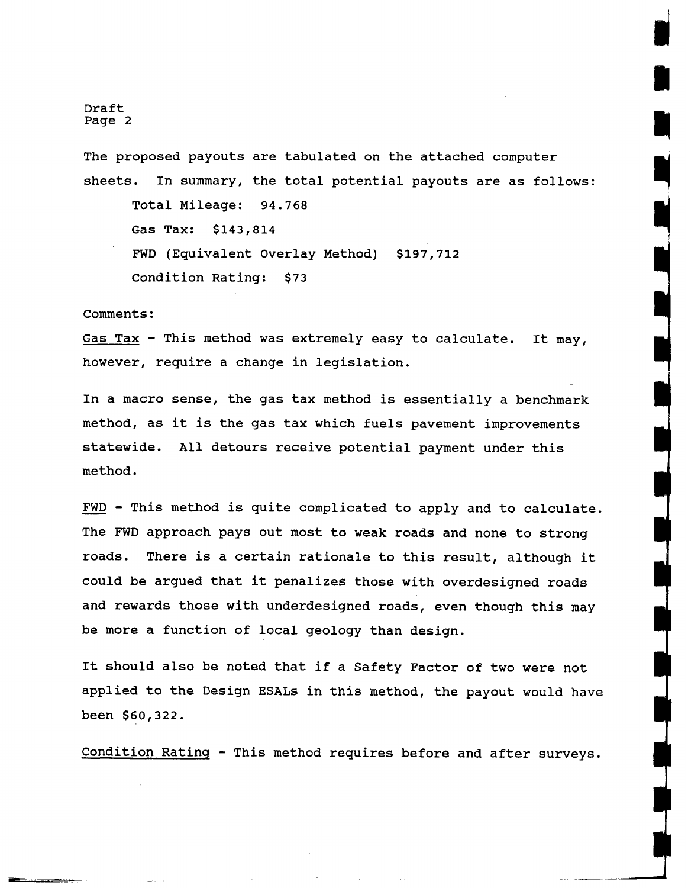Draft Page 2

The proposed payouts are tabulated on the attached computer sheets. In summary, the total potential payouts are as follows: Total Mileage: 94.768 Gas Tax: \$143,814 FWD (Equivalent Overlay Method) \$197,712 Condition Rating: \$73

Comments :

Gas Tax - This method was extremely easy to calculate. It may, however, require a change in legislation.

In a macro sense, the gas tax method is essentially a benchmark method, as it is the gas tax which fuels pavement improvements statewide. All detours receive potential payment under this method.

- FWD - This method is quite complicated to apply and to calculate. The FWD approach pays out most to weak roads and none to strong roads. There is a certain rationale to this result, although it could be argued that it penalizes those with overdesigned roads and rewards those with underdesigned roads, even though this may be more a function of local geology than design.

It should also be noted that if a Safety Factor of two were not applied to the Design ESALs in this method, the payout would have been \$60,322.

Condition Ratinq - This method requires before and after surveys.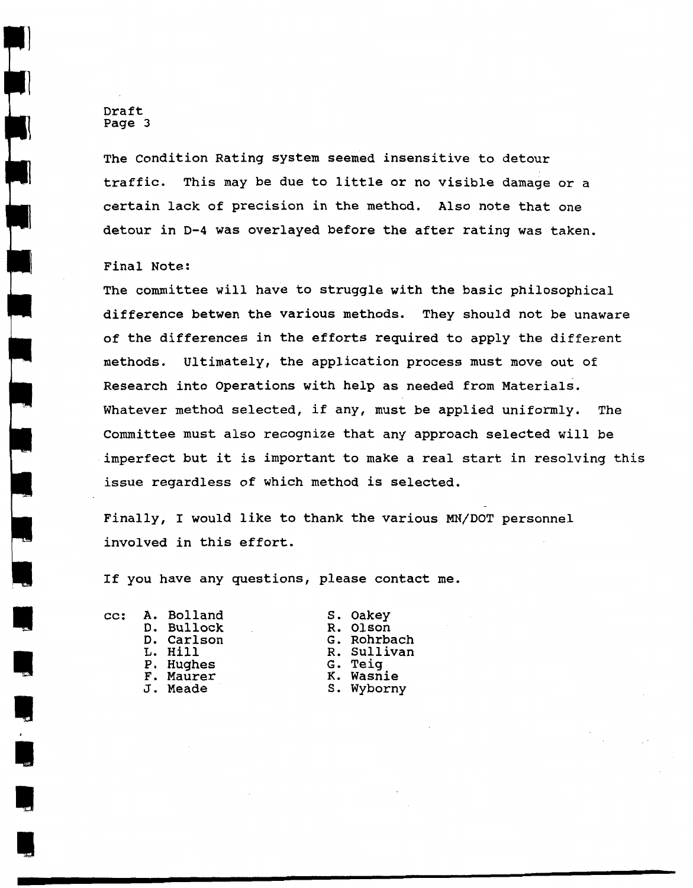Draft Page 3

The Condition Rating system seemed insensitive to detour traffic. This may be due to little or no visible damage or a certain lack of precision in the method. Also note that one detour in D-4 was overlayed before the after rating was taken.

#### Final Note:

The committee will have to struggle with the basic philosophical difference betwen the various methods. They should not be unaware of the differences in the efforts required to apply the different methods. Ultimately, the application process must move out of Research into Operations with help as needed from Materials. Whatever method selected, if any, must be applied uniformly. The Committee must also recognize that any approach selected will be imperfect but it is important to make a real start in resolving this issue regardless of which method is selected.

Finally, I would like to thank the various MN/DOT personnel involved in this effort.

If you have any questions, please contact me.

cc: **A.** Bolland D. Bullock D. Carlson L. Hill P. Hughes F. Maurer J. Meade

S. Oakey R. Olson G. Rohrbach R. Sullivan G. Teig K. Wasnie **S.** Wyborny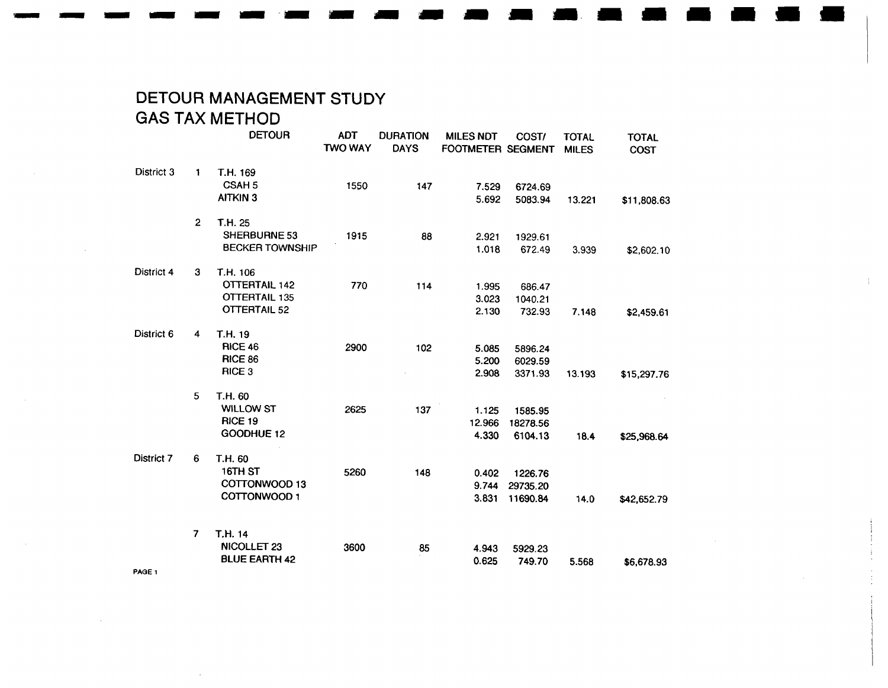# DETOUR MANAGEMENT STUDY GAS TAX METHOD

|                   |                | <b>DETOUR</b>                                                                   | <b>ADT</b><br><b>TWO WAY</b> | <b>DURATION</b><br><b>DAYS</b> | <b>MILES NDT</b><br>FOOTMETER SEGMENT | COST/                           | <b>TOTAL</b><br><b>MILES</b> | <b>TOTAL</b><br><b>COST</b> |
|-------------------|----------------|---------------------------------------------------------------------------------|------------------------------|--------------------------------|---------------------------------------|---------------------------------|------------------------------|-----------------------------|
| District 3        | $\mathbf{1}$   | T.H. 169<br><b>CSAH5</b><br><b>AITKIN 3</b>                                     | 1550                         | 147                            | 7.529<br>5.692                        | 6724.69<br>5083.94              | 13.221                       | \$11,808.63                 |
|                   | $\overline{2}$ | T.H. 25<br>SHERBURNE 53<br><b>BECKER TOWNSHIP</b>                               | 1915                         | 88                             | 2.921<br>1.018                        | 1929.61<br>672.49               | 3.939                        | \$2,602.10                  |
| District 4        | 3              | T.H. 106<br><b>OTTERTAIL 142</b><br><b>OTTERTAIL 135</b><br><b>OTTERTAIL 52</b> | 770                          | 114                            | 1.995<br>3.023<br>2.130               | 686.47<br>1040.21<br>732.93     | 7.148                        | \$2,459.61                  |
| District 6        | 4              | T.H. 19<br><b>RICE 46</b><br><b>RICE 86</b><br><b>RICE 3</b>                    | 2900                         | 102                            | 5.085<br>5.200<br>2.908               | 5896.24<br>6029.59<br>3371.93   | 13.193                       | \$15,297.76                 |
|                   | 5              | T.H. 60<br><b>WILLOW ST</b><br>RICE 19<br>GOODHUE 12                            | 2625                         | 137                            | 1.125<br>12.966<br>4.330              | 1585.95<br>18278.56<br>6104.13  | 18.4                         | \$25,968.64                 |
| District 7        | 6              | T.H. 60<br>16TH ST<br>COTTONWOOD 13<br>COTTONWOOD 1                             | 5260                         | 148                            | 0.402<br>9.744<br>3.831               | 1226.76<br>29735.20<br>11690.84 | 14.0                         | \$42,652.79                 |
| PAGE <sub>1</sub> | $\overline{7}$ | T.H. 14<br>NICOLLET 23<br><b>BLUE EARTH 42</b>                                  | 3600                         | 85                             | 4.943<br>0.625                        | 5929.23<br>749.70               | 5.568                        | \$6,678.93                  |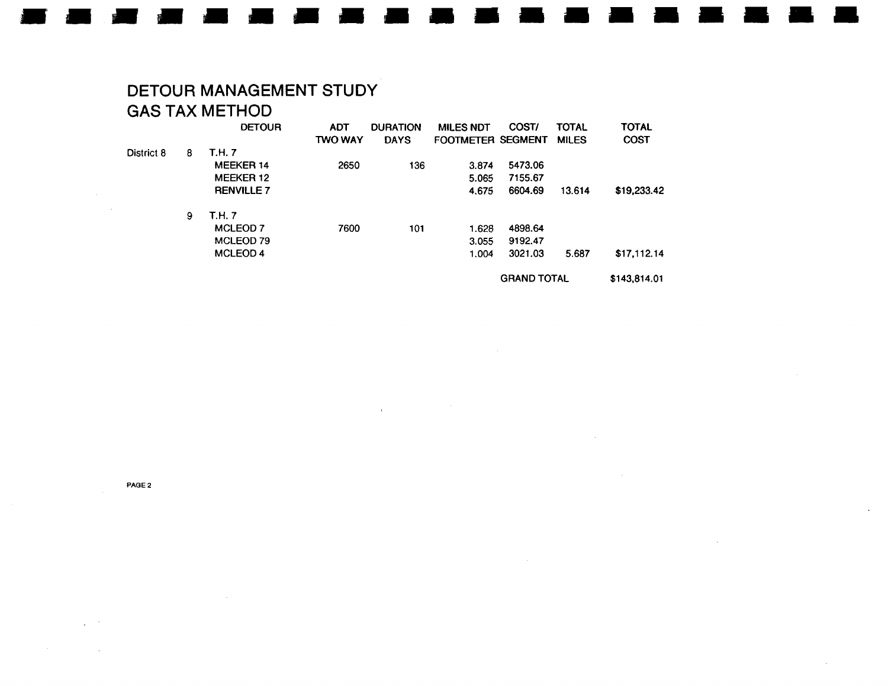# **DETOUR MANAGEMENT STUDY GAS TAX METHOD**

|            |   | <b>DETOUR</b>       | <b>ADT</b><br><b>TWO WAY</b> | <b>DURATION</b><br><b>DAYS</b> | <b>MILES NDT</b><br>FOOTMETER SEGMENT | COST/              | <b>TOTAL</b><br><b>MILES</b> | <b>TOTAL</b><br><b>COST</b> |
|------------|---|---------------------|------------------------------|--------------------------------|---------------------------------------|--------------------|------------------------------|-----------------------------|
| District 8 | 8 | <b>T.H. 7</b>       |                              |                                |                                       |                    |                              |                             |
|            |   | <b>MEEKER 14</b>    | 2650                         | 136                            | 3.874                                 | 5473.06            |                              |                             |
|            |   | <b>MEEKER 12</b>    |                              |                                | 5.065                                 | 7155.67            |                              |                             |
|            |   | <b>RENVILLE 7</b>   |                              |                                | 4.675                                 | 6604.69            | 13.614                       | \$19,233.42                 |
|            | 9 | T.H. 7              |                              |                                |                                       |                    |                              |                             |
|            |   | <b>MCLEOD 7</b>     | 7600                         | 101                            | 1.628                                 | 4898.64            |                              |                             |
|            |   | MCLEOD 79           |                              |                                | 3.055                                 | 9192.47            |                              |                             |
|            |   | MCLEOD <sub>4</sub> |                              |                                | 1.004                                 | 3021.03            | 5.687                        | \$17,112.14                 |
|            |   |                     |                              |                                |                                       | <b>GRAND TOTAL</b> |                              | \$143,814.01                |

 $\mathcal{L}_{\text{max}}$  and  $\mathcal{L}_{\text{max}}$  and  $\mathcal{L}_{\text{max}}$ 

 $\sim 10^7$ 

 $\sim$ 

**PAQE 2** 

 $\sim 10$ 

 $\sim 10$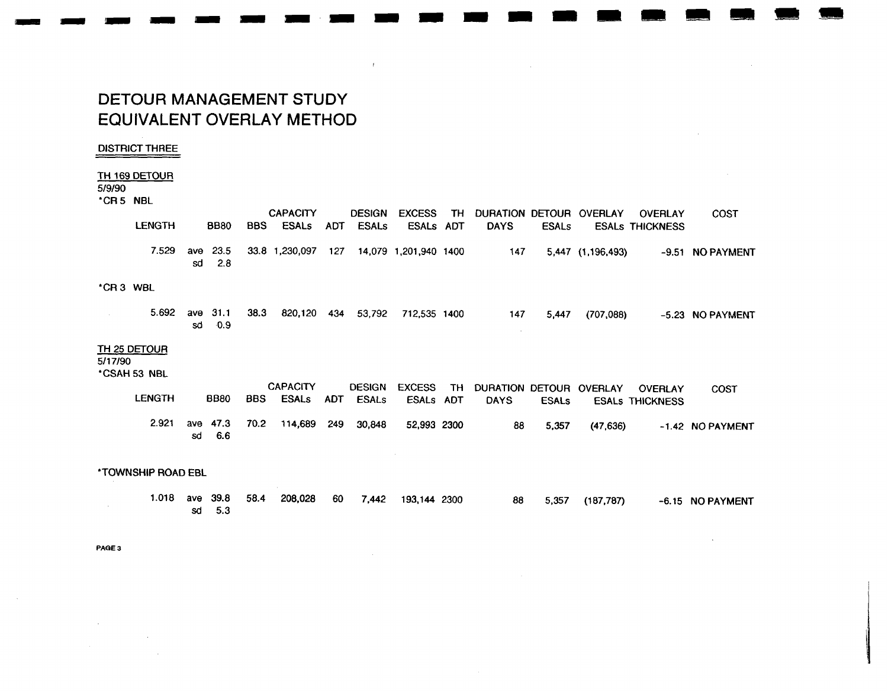# **DETOUR MANAGEMENT STUDY EQUIVALENT OVERLAY METHOD**

#### **DISTRICT THREE**

#### TH 169 DETOUR

#### 5/9/90

\*CR5 NBL

|          |                                     |           |             |            | <b>CAPACITY</b> |            | <b>DESIGN</b> | <b>EXCESS</b>         | TH  | DURATION DETOUR OVERLAY |              |                   | <b>OVERLAY</b>         | <b>COST</b>      |
|----------|-------------------------------------|-----------|-------------|------------|-----------------|------------|---------------|-----------------------|-----|-------------------------|--------------|-------------------|------------------------|------------------|
|          | <b>LENGTH</b>                       |           | <b>BB80</b> | <b>BBS</b> | <b>ESALs</b>    | ADT        | <b>ESALs</b>  | ESALS ADT             |     | <b>DAYS</b>             | <b>ESALs</b> |                   | <b>ESALS THICKNESS</b> |                  |
|          | 7.529                               | ave<br>sd | 23.5<br>2.8 |            | 33.8 1,230,097  | 127        |               | 14,079 1,201,940 1400 |     | 147                     |              | 5,447 (1,196,493) |                        | -9.51 NO PAYMENT |
| *CR3 WBL |                                     |           |             |            |                 |            |               |                       |     |                         |              |                   |                        |                  |
|          | 5.692                               | ave<br>sd | 31.1<br>0.9 | 38.3       | 820,120         | 434        | 53,792        | 712,535 1400          |     | 147                     | 5.447        | (707,088)         |                        | -5.23 NO PAYMENT |
| 5/17/90  | <b>TH 25 DETOUR</b><br>*CSAH 53 NBL |           |             |            |                 |            |               |                       |     |                         |              |                   |                        |                  |
|          |                                     |           |             |            | <b>CAPACITY</b> |            | <b>DESIGN</b> | <b>EXCESS</b>         | TH. | DURATION DETOUR OVERLAY |              |                   | <b>OVERLAY</b>         | <b>COST</b>      |
|          | <b>LENGTH</b>                       |           | <b>BB80</b> | <b>BBS</b> | <b>ESALS</b>    | <b>ADT</b> | <b>ESALs</b>  | ESALs ADT             |     | <b>DAYS</b>             | <b>ESALS</b> |                   | <b>ESALS THICKNESS</b> |                  |
|          | 2.921                               | ave<br>sd | 47.3<br>6.6 | 70.2       | 114,689         | 249        | 30,848        | 52,993 2300           |     | 88                      | 5,357        | (47, 636)         |                        | -1.42 NO PAYMENT |
|          | <b><i>*TOWNSHIP ROAD EBL</i></b>    |           |             |            |                 |            |               |                       |     |                         |              |                   |                        |                  |
|          | 1.018                               |           | ave 39.8    | 58.4       | 208,028         | 60         | 7,442         | 193,144 2300          |     | 88                      | 5,357        | (187, 787)        |                        | -6.15 NO PAYMENT |

**Contractor** 

 $\sim 10^7$ 

 $\mathcal{L}^{\mathcal{L}}$ 

 $\mathcal{A}^{\pm}$ 

 $\sim 100$ 

sd 5.3

PAGE 3

 $\sim 10^7$ 

 $\sim 100$  $\sim 10^7$ 

 $\sim$   $\sim$ 

 $\sim 10$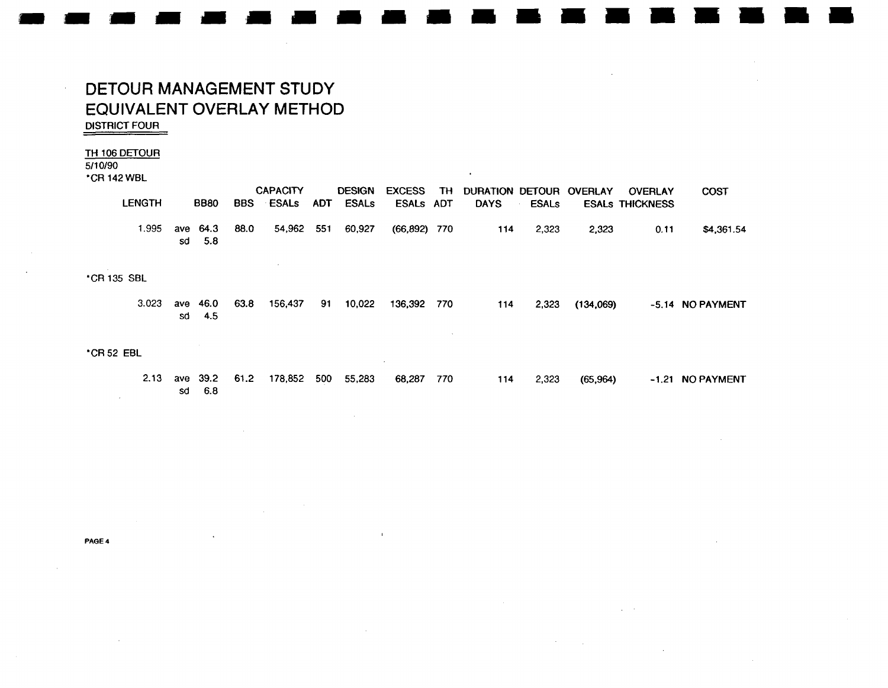## DETOUR MANAGEMENT STUDY EQUIVALENT OVERLAY METHOD **DISTRICT FOUR**

 $\mathcal{L}$ 

#### TH 106 DETOUR

 $5/10/90$ 

\*CR 142 WBL

| <b>LENGTH</b> |          | <b>BB80</b> | <b>BBS</b> | <b>CAPACITY</b><br><b>ESALS</b> | <b>ADT</b> | <b>DESIGN</b><br><b>ESALs</b> | <b>EXCESS</b><br>ESALS ADT | TH . | DURATION DETOUR OVERLAY<br><b>DAYS</b> | <b>ESALs</b> |       | OVERLAY<br><b>ESALS THICKNESS</b> | COST       |
|---------------|----------|-------------|------------|---------------------------------|------------|-------------------------------|----------------------------|------|----------------------------------------|--------------|-------|-----------------------------------|------------|
| .995          | ave 64.3 | sd 5.8      | 88.0       | 54.962 551                      |            | 60.927                        | $(66.892)$ 770             |      | 114                                    | 2.323        | 2.323 | 0.11                              | \$4,361.54 |

\*CR 135 SBL

|  |        | 3.023 ave 46.0 63.8 156,437 91 10,022 136,392 770 |  |  |  | 114 2,323 (134,069) | -5.14 NO PAYMENT |
|--|--------|---------------------------------------------------|--|--|--|---------------------|------------------|
|  | sd 4.5 |                                                   |  |  |  |                     |                  |

#### \*CR 52 EBL

|  |        |  |  | 2.13 ave 39.2 61.2 178,852 500 55,283 68,287 770 |  |  | 114 2,323 (65,964) | -1.21 NO PAYMENT |
|--|--------|--|--|--------------------------------------------------|--|--|--------------------|------------------|
|  | sd 6.8 |  |  |                                                  |  |  |                    |                  |

 $\mathcal{L}$ 

 $\mathbf{L}$ 

PAGE 4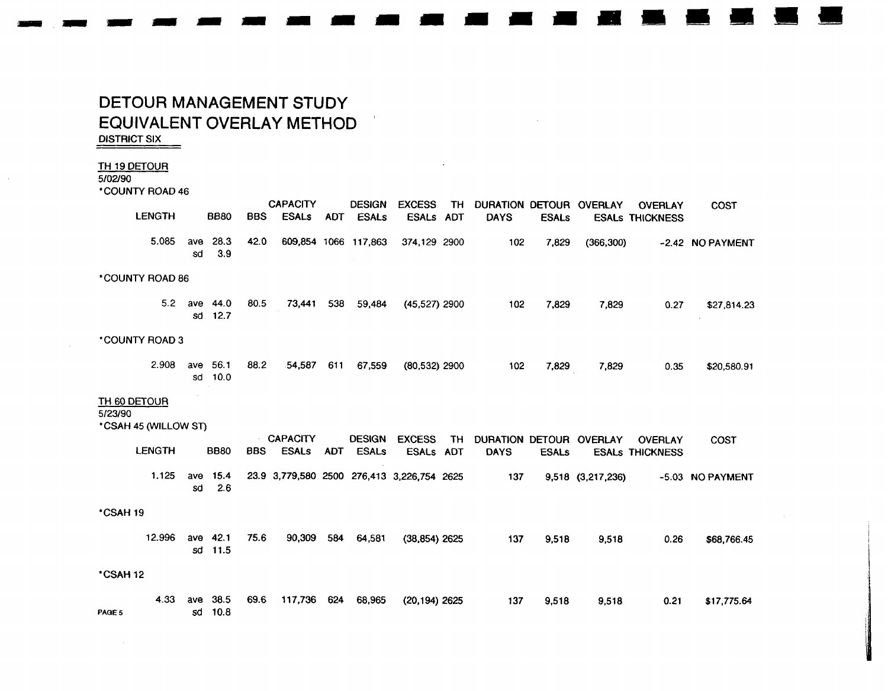# DETOUR MANAGEMENT STUDY EQUIVALENT OVERLAY METHOD

**DISTRICT SIX** 

#### TH 19 DETOUR 5/02/90

 $\mathcal{L}$ 

 $100 \text{ MHz} 0010 10$ 

| <b>"COUNTY HOAD 46</b>  |           |              |            |                                 |            |                               |                                            |     |                                        |              |                   |                                          |                  |
|-------------------------|-----------|--------------|------------|---------------------------------|------------|-------------------------------|--------------------------------------------|-----|----------------------------------------|--------------|-------------------|------------------------------------------|------------------|
| <b>LENGTH</b>           |           | <b>BB80</b>  | <b>BBS</b> | <b>CAPACITY</b><br><b>ESALs</b> | <b>ADT</b> | <b>DESIGN</b><br><b>ESALs</b> | <b>EXCESS</b><br>ESALs ADT                 | TH  | DURATION DETOUR OVERLAY<br><b>DAYS</b> | <b>ESALs</b> |                   | <b>OVERLAY</b><br><b>ESALS THICKNESS</b> | <b>COST</b>      |
| 5.085                   | ave<br>sd | 28.3<br>3.9  | 42.0       |                                 |            | 609,854 1066 117,863          | 374,129 2900                               |     | 102                                    | 7,829        | (366, 300)        |                                          | -2.42 NO PAYMENT |
| *COUNTY ROAD 86         |           |              |            |                                 |            |                               |                                            |     |                                        |              |                   |                                          |                  |
| 5.2                     | ave<br>sd | 44.0<br>12.7 | 80.5       | 73,441                          | 538        | 59,484                        | $(45,527)$ 2900                            |     | 102                                    | 7,829        | 7,829             | 0.27                                     | \$27,814.23      |
| *COUNTY ROAD 3          |           |              |            |                                 |            |                               |                                            |     |                                        |              |                   |                                          |                  |
| 2.908                   | ave<br>sd | 56.1<br>10.0 | 88.2       | 54,587                          | 611        | 67,559                        | (80,532) 2900                              |     | 102                                    | 7,829        | 7,829             | 0.35                                     | \$20,580.91      |
| TH 60 DETOUR<br>5/23/90 |           |              |            |                                 |            |                               |                                            |     |                                        |              |                   |                                          |                  |
| *CSAH 45 (WILLOW ST)    |           |              |            |                                 |            |                               |                                            |     |                                        |              |                   |                                          |                  |
| <b>LENGTH</b>           |           | <b>BB80</b>  | <b>BBS</b> | <b>CAPACITY</b><br><b>ESALs</b> | <b>ADT</b> | <b>DESIGN</b><br><b>ESALs</b> | <b>EXCESS</b><br>ESALs ADT                 | TH. | DURATION DETOUR OVERLAY<br><b>DAYS</b> | <b>ESALs</b> |                   | <b>OVERLAY</b><br><b>ESALS THICKNESS</b> | <b>COST</b>      |
| 1.125                   | ave<br>sd | 15.4<br>2.6  |            |                                 |            |                               | 23.9 3,779,580 2500 276,413 3,226,754 2625 |     | 137                                    |              | 9,518 (3,217,236) |                                          | -5.03 NO PAYMENT |
| *CSAH 19                |           |              |            |                                 |            |                               |                                            |     |                                        |              |                   |                                          |                  |
| 12.996                  | ave<br>sd | 42.1<br>11.5 | 75.6       | 90,309                          | 584        | 64,581                        | $(38, 854)$ 2625                           |     | 137                                    | 9,518        | 9,518             | 0.26                                     | \$68,766.45      |
| *CSAH 12                |           |              |            |                                 |            |                               |                                            |     |                                        |              |                   |                                          |                  |
| 4.33<br>PAGE 5          | ave<br>sd | 38.5<br>10.8 | 69.6       | 117,736                         | 624        | 68,965                        | $(20, 194)$ 2625                           |     | 137                                    | 9,518        | 9,518             | 0.21                                     | \$17,775.64      |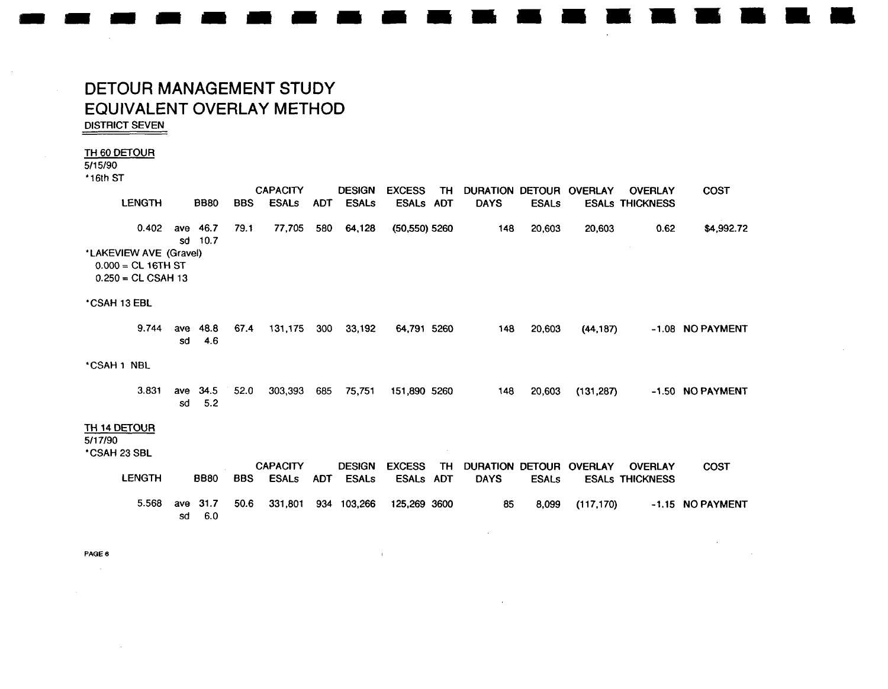# DETOUR MANAGEMENT STUDY EQUIVALENT OVERLAY METHOD **DISTRICT SEVEN**

#### TH 60 DETOUR

 $5/15/90$ 

\*16th ST

|                                                                        |           |              |            | <b>CAPACITY</b>                 |            | <b>DESIGN</b>                 | <b>EXCESS</b>                 | TH                      | DURATION DETOUR OVERLAY        |              |                | <b>OVERLAY</b>                           | <b>COST</b>      |
|------------------------------------------------------------------------|-----------|--------------|------------|---------------------------------|------------|-------------------------------|-------------------------------|-------------------------|--------------------------------|--------------|----------------|------------------------------------------|------------------|
| <b>LENGTH</b>                                                          |           | <b>BB80</b>  | <b>BBS</b> | <b>ESALS</b>                    | <b>ADT</b> | <b>ESALs</b>                  | <b>ESALS</b>                  | <b>ADT</b>              | <b>DAYS</b>                    | <b>ESALS</b> |                | <b>ESALS THICKNESS</b>                   |                  |
| 0.402                                                                  | ave<br>sd | 46.7<br>10.7 | 79.1       | 77,705                          | 580        | 64,128                        | (50,550) 5260                 |                         | 148                            | 20,603       | 20,603         | 0.62                                     | \$4,992.72       |
| *LAKEVIEW AVE (Gravel)<br>$0.000 = CL 16TH ST$<br>$0.250 = CL CSAH 13$ |           |              |            |                                 |            |                               |                               |                         |                                |              |                |                                          |                  |
| *CSAH 13 EBL                                                           |           |              |            |                                 |            |                               |                               |                         |                                |              |                |                                          |                  |
| 9.744                                                                  | ave<br>sd | 48.8<br>4.6  | 67.4       | 131,175                         | 300        | 33,192                        | 64,791 5260                   |                         | 148                            | 20,603       | (44, 187)      |                                          | -1.08 NO PAYMENT |
| *CSAH 1 NBL                                                            |           |              |            |                                 |            |                               |                               |                         |                                |              |                |                                          |                  |
| 3.831                                                                  | ave<br>sd | 34.5<br>5.2  | 52.0       | 303,393                         | 685        | 75,751                        | 151,890 5260                  |                         | 148                            | 20,603       | (131, 287)     |                                          | -1.50 NO PAYMENT |
| TH 14 DETOUR<br>5/17/90                                                |           |              |            |                                 |            |                               |                               |                         |                                |              |                |                                          |                  |
| *CSAH 23 SBL                                                           |           |              |            |                                 |            |                               |                               |                         |                                |              |                |                                          |                  |
| <b>LENGTH</b>                                                          |           | <b>BB80</b>  | <b>BBS</b> | <b>CAPACITY</b><br><b>ESALs</b> | <b>ADT</b> | <b>DESIGN</b><br><b>ESALs</b> | <b>EXCESS</b><br><b>ESALS</b> | <b>TH</b><br><b>ADT</b> | DURATION DETOUR<br><b>DAYS</b> | <b>ESALs</b> | <b>OVERLAY</b> | <b>OVERLAY</b><br><b>ESALS THICKNESS</b> | <b>COST</b>      |
| 5.568                                                                  | ave<br>sd | 31.7<br>6.0  | 50.6       | 331,801                         |            | 934 103,266                   | 125,269 3600                  |                         | 85                             | 8,099        | (117, 170)     |                                          | -1.15 NO PAYMENT |

 $\pm$ 

PAGE 6  $\sim 10^7$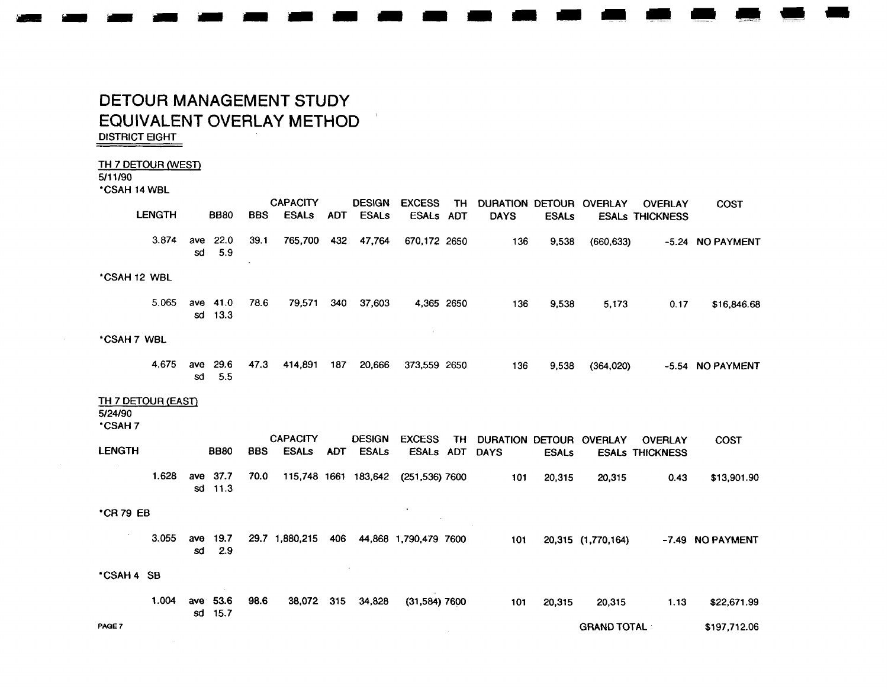# DETOUR MANAGEMENT STUDY EQUIVALENT OVERLAY METHOD

**DISTRICT EIGHT** 

#### TH 7 DETOUR (WEST)

5/11/90

\*CSAH 14 WBL

|                                                | <b>LENGTH</b> |           | <b>BB80</b>         | <b>BBS</b> | <b>CAPACITY</b><br><b>ESALs</b> | <b>ADT</b> | <b>DESIGN</b><br><b>ESALs</b> | <b>EXCESS</b><br><b>ESALs</b>       | TH .       | DURATION DETOUR OVERLAY |              |                    | <b>OVERLAY</b>         | <b>COST</b>      |
|------------------------------------------------|---------------|-----------|---------------------|------------|---------------------------------|------------|-------------------------------|-------------------------------------|------------|-------------------------|--------------|--------------------|------------------------|------------------|
|                                                |               |           |                     |            |                                 |            |                               |                                     | <b>ADT</b> | <b>DAYS</b>             | <b>ESALs</b> |                    | <b>ESALS THICKNESS</b> |                  |
|                                                | 3.874         | ave<br>sd | 22.0<br>5.9         | 39.1       | 765,700 432                     |            | 47,764                        | 670,172 2650                        |            | 136                     | 9,538        | (660, 633)         |                        | -5.24 NO PAYMENT |
| *CSAH 12 WBL                                   |               |           |                     |            |                                 |            |                               |                                     |            |                         |              |                    |                        |                  |
|                                                | 5.065         |           | ave 41.0<br>sd 13.3 | 78.6       | 79,571                          | 340        | 37,603                        | 4,365 2650                          |            | 136                     | 9,538        | 5,173              | 0.17                   | \$16,846.68      |
| *CSAH 7 WBL                                    |               |           |                     |            |                                 |            |                               |                                     |            |                         |              |                    |                        |                  |
|                                                | 4.675         | ave<br>sd | 29.6<br>5.5         | 47.3       | 414,891                         | 187        | 20,666                        | 373,559 2650                        |            | 136                     | 9,538        | (364, 020)         |                        | -5.54 NO PAYMENT |
| <b>TH 7 DETOUR (EAST)</b><br>5/24/90<br>*CSAH7 |               |           |                     |            |                                 |            |                               |                                     |            |                         |              |                    |                        |                  |
|                                                |               |           |                     |            | <b>CAPACITY</b>                 |            | <b>DESIGN</b>                 | <b>EXCESS</b>                       | TH.        | DURATION DETOUR OVERLAY |              |                    | <b>OVERLAY</b>         | <b>COST</b>      |
| <b>LENGTH</b>                                  |               |           | <b>BB80</b>         | <b>BBS</b> | <b>ESALs</b>                    |            | ADT ESALs                     | ESALs ADT                           |            | <b>DAYS</b>             | <b>ESALs</b> |                    | <b>ESALS THICKNESS</b> |                  |
|                                                | 1.628         |           | ave 37.7<br>sd 11.3 | 70.0       |                                 |            |                               | 115,748 1661 183,642 (251,536) 7600 |            | 101                     | 20,315       | 20,315             | 0.43                   | \$13,901.90      |
| *CR 79 EB                                      |               |           |                     |            |                                 |            |                               |                                     |            |                         |              |                    |                        |                  |
| $\sim$                                         | 3.055         | ave<br>sd | 19.7<br>2.9         |            | 29.7 1,880,215                  |            |                               | 406 44,868 1,790,479 7600           |            | 101                     |              | 20,315 (1,770,164) |                        | -7.49 NO PAYMENT |
| *CSAH 4 SB                                     |               |           |                     |            |                                 |            |                               |                                     |            |                         |              |                    |                        |                  |
|                                                | 1.004         |           | ave 53.6<br>sd 15.7 | 98.6       | 38.072                          | 315        | 34,828                        | $(31,584)$ 7600                     |            | 101                     | 20,315       | 20,315             | 1.13                   | \$22,671.99      |

 $\sim$ 

**GRAND TOTAL** 

\$197,712.06

PAGE 7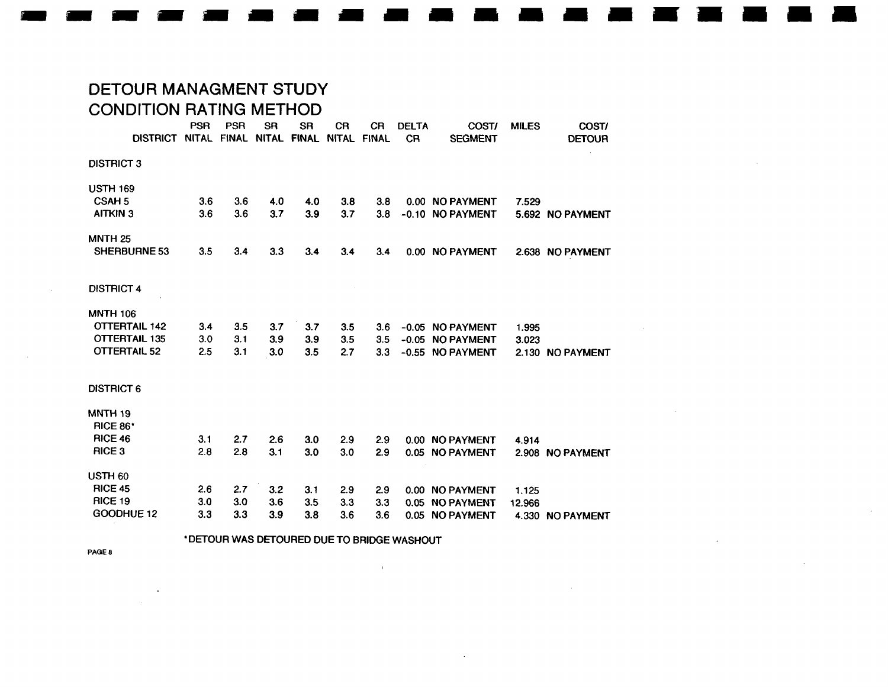# DETOUR MANAGMENT STUDY CONDITION RATING METHOD

|                      | <b>PSR</b> | <b>PSR</b> | <b>SR</b>         | <b>SR</b>    | <b>CR</b>   | <b>CR</b> | <b>DELTA</b> | COST/            | <b>MILES</b> | COST/            |
|----------------------|------------|------------|-------------------|--------------|-------------|-----------|--------------|------------------|--------------|------------------|
| <b>DISTRICT</b>      |            |            | NITAL FINAL NITAL | <b>FINAL</b> | NITAL FINAL |           | <b>CR</b>    | <b>SEGMENT</b>   |              | <b>DETOUR</b>    |
| <b>DISTRICT 3</b>    |            |            |                   |              |             |           |              |                  |              |                  |
| <b>USTH 169</b>      |            |            |                   |              |             |           |              |                  |              |                  |
| CSAH <sub>5</sub>    | 3.6        | 3.6        | 4.0               | 4.0          | 3.8         | 3.8       |              | 0.00 NO PAYMENT  | 7.529        |                  |
| <b>AITKIN 3</b>      | 3.6        | 3.6        | 3.7               | 3.9          | 3.7         | 3.8       |              | -0.10 NO PAYMENT |              | 5.692 NO PAYMENT |
| <b>MNTH 25</b>       |            |            |                   |              |             |           |              |                  |              |                  |
| <b>SHERBURNE 53</b>  | 3.5        | 3.4        | 3.3               | 3.4          | 3.4         | 3.4       |              | 0.00 NO PAYMENT  |              | 2.638 NO PAYMENT |
| <b>DISTRICT 4</b>    |            |            |                   |              |             |           |              |                  |              |                  |
| <b>MNTH 106</b>      |            |            |                   |              |             |           |              |                  |              |                  |
| <b>OTTERTAIL 142</b> | 3.4        | 3.5        | 3.7               | 3.7          | 3.5         | 3.6       |              | -0.05 NO PAYMENT | 1.995        |                  |
| <b>OTTERTAIL 135</b> | 3.0        | 3.1        | 3.9               | 3.9          | 3.5         | 3.5       |              | -0.05 NO PAYMENT | 3.023        |                  |
| <b>OTTERTAIL 52</b>  | 2.5        | 3.1        | 3.0               | 3.5          | 2.7         | 3.3       |              | -0.55 NO PAYMENT |              | 2.130 NO PAYMENT |
| <b>DISTRICT 6</b>    |            |            |                   |              |             |           |              |                  |              |                  |
| <b>MNTH 19</b>       |            |            |                   |              |             |           |              |                  |              |                  |
| <b>RICE 86*</b>      |            |            |                   |              |             |           |              |                  |              |                  |
| <b>RICE 46</b>       | 3.1        | 2.7        | 2.6               | 3.0          | 2.9         | 2.9       |              | 0.00 NO PAYMENT  | 4.914        |                  |
| RICE <sub>3</sub>    | 2.8        | 2.8        | 3.1               | 3.0          | 3.0         | 2.9       |              | 0.05 NO PAYMENT  |              | 2.908 NO PAYMENT |
| USTH <sub>60</sub>   |            |            |                   |              |             |           |              |                  |              |                  |
| <b>RICE 45</b>       | 2.6        | 2.7        | 3.2               | 3.1          | 2.9         | 2.9       |              | 0.00 NO PAYMENT  | 1.125        |                  |
| <b>RICE 19</b>       | 3.0        | 3.0        | 3.6               | 3.5          | 3.3         | 3.3       |              | 0.05 NO PAYMENT  | 12.966       |                  |
| GOODHUE 12           | 3.3        | 3.3        | 3.9               | 3.8          | 3.6         | 3.6       |              | 0.05 NO PAYMENT  |              | 4.330 NO PAYMENT |

'DETOUR WAS DETOURED DUE TO BRIDGE WASHOUT

 $\sim 10^{11}$ 

 $\sim$ 

 $\sim$ 

**PAGE 8** 

 $\sim$ 

 $\sim$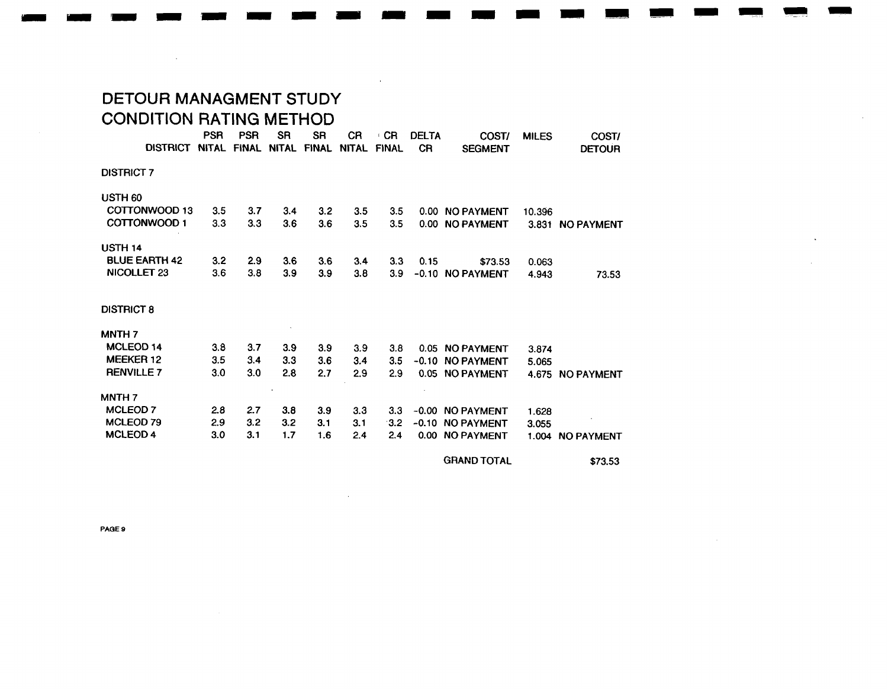# DETOUR MANAGMENT STUDY CONDITION RATING METHOD

|                        | <b>PSR</b>   | <b>PSR</b>   | <b>SR</b>    | <b>SR</b>    | <b>CR</b>    | CR.          | <b>DELTA</b> | COST/             | <b>MILES</b> | COST/            |
|------------------------|--------------|--------------|--------------|--------------|--------------|--------------|--------------|-------------------|--------------|------------------|
| <b>DISTRICT</b>        | <b>NITAL</b> | <b>FINAL</b> | <b>NITAL</b> | <b>FINAL</b> | <b>NITAL</b> | <b>FINAL</b> | <b>CR</b>    | <b>SEGMENT</b>    |              | <b>DETOUR</b>    |
| <b>DISTRICT 7</b>      |              |              |              |              |              |              |              |                   |              |                  |
|                        |              |              |              |              |              |              |              |                   |              |                  |
| USTH <sub>60</sub>     |              |              |              |              |              |              |              |                   |              |                  |
| COTTONWOOD 13          | 3.5          | 3.7          | 3.4          | 3.2          | 3.5          | 3.5          |              | 0.00 NO PAYMENT   | 10.396       |                  |
| COTTONWOOD 1           | 3.3          | 3.3          | 3.6          | 3.6          | 3.5          | 3.5          |              | 0.00 NO PAYMENT   |              | 3.831 NO PAYMENT |
|                        |              |              |              |              |              |              |              |                   |              |                  |
| USTH <sub>14</sub>     |              |              |              |              |              |              |              |                   |              |                  |
| <b>BLUE EARTH 42</b>   | 3.2          | 2.9          | 3.6          | 3.6          | 3.4          | 3.3          | 0.15         | \$73.53           | 0.063        |                  |
| NICOLLET <sub>23</sub> | 3.6          | 3.8          | 3.9          | 3.9          | 3.8          | 3.9          |              | -0.10 NO PAYMENT  | 4.943        | 73.53            |
|                        |              |              |              |              |              |              |              |                   |              |                  |
|                        |              |              |              |              |              |              |              |                   |              |                  |
| <b>DISTRICT 8</b>      |              |              |              |              |              |              |              |                   |              |                  |
|                        |              |              |              |              |              |              |              |                   |              |                  |
| MNTH <sub>7</sub>      |              |              |              |              |              |              |              |                   |              |                  |
| MCLEOD <sub>14</sub>   | 3.8          | 3.7          | 3.9          | 3.9          | 3.9          | 3.8          |              | 0.05 NO PAYMENT   | 3.874        |                  |
| MEEKER 12              | 3.5          | 3.4          | 3.3          | 3.6          | 3.4          | 3.5          |              | -0.10 NO PAYMENT  | 5.065        |                  |
| <b>RENVILLE 7</b>      | 3.0          | 3.0          | 2.8          | 2.7          | 2.9          | 2.9          |              | 0.05 NO PAYMENT   |              | 4.675 NO PAYMENT |
|                        |              |              |              |              |              |              |              |                   |              |                  |
| <b>MNTH 7</b>          |              |              |              |              |              |              |              |                   |              |                  |
| <b>MCLEOD 7</b>        | 2.8          | 2.7          | 3.8          | 3.9          | 3.3          | 3.3          |              | -0.00 NO PAYMENT  | 1.628        |                  |
| MCLEOD <sub>79</sub>   | 2.9          | 3.2          | 3.2          | 3.1          | 3.1          | 3.2          | $-0.10$      | <b>NO PAYMENT</b> | 3.055        |                  |
| <b>MCLEOD 4</b>        | 3.0          | 3.1          | 1.7          | 1.6          | 2.4          | 2.4          |              | 0.00 NO PAYMENT   |              | 1.004 NO PAYMENT |
|                        |              |              |              |              |              |              |              |                   |              |                  |

GRAND TOTAL \$73.53

PAGE 9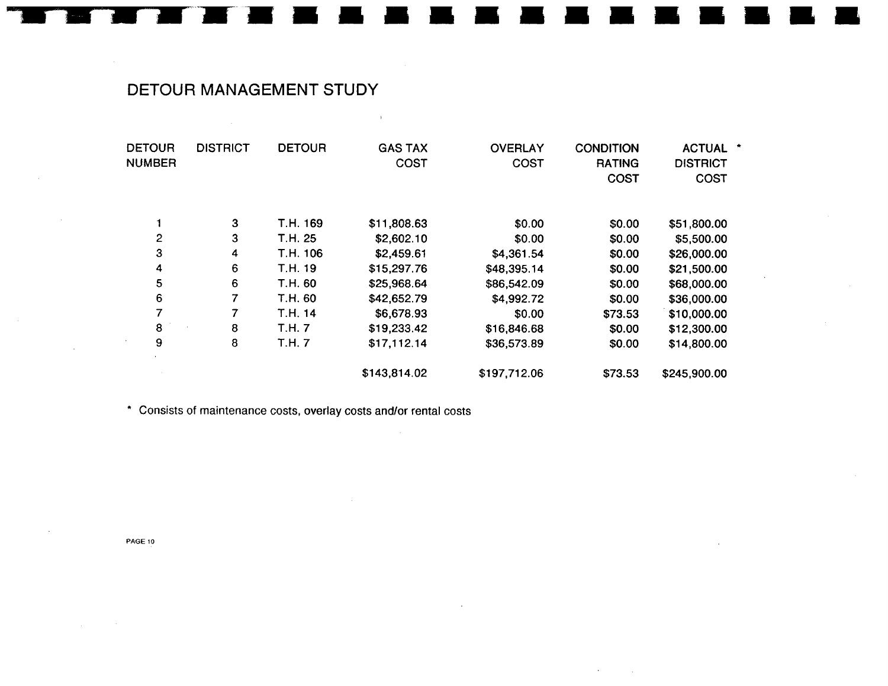# **DETOUR MANAGEMENT STUDY**

| <b>DETOUR</b><br><b>NUMBER</b> | <b>DISTRICT</b>  | <b>DETOUR</b> | <b>GAS TAX</b><br>COST | <b>OVERLAY</b><br>COST | <b>CONDITION</b><br><b>RATING</b><br><b>COST</b> | <b>ACTUAL</b><br>*<br><b>DISTRICT</b><br><b>COST</b> |
|--------------------------------|------------------|---------------|------------------------|------------------------|--------------------------------------------------|------------------------------------------------------|
|                                | 3                | T.H. 169      | \$11,808.63            | \$0.00                 | \$0.00                                           | \$51,800.00                                          |
| $\mathbf{2}$                   | 3                | T.H. 25       | \$2,602.10             | \$0.00                 | \$0.00                                           | \$5,500.00                                           |
| 3                              | 4                | T.H. 106      | \$2,459.61             | \$4,361.54             | \$0.00                                           | \$26,000.00                                          |
| 4                              | $\boldsymbol{6}$ | T.H. 19       | \$15,297.76            | \$48,395.14            | \$0.00                                           | \$21,500.00                                          |
| 5                              | 6                | T.H. 60       | \$25,968.64            | \$86,542.09            | \$0.00                                           | \$68,000.00                                          |
| $\boldsymbol{6}$               | 7                | T.H. 60       | \$42,652.79            | \$4,992.72             | \$0.00                                           | \$36,000.00                                          |
| 7                              | 7                | T.H. 14       | \$6,678.93             | \$0.00                 | \$73.53                                          | \$10,000.00                                          |
| 8                              | 8                | T.H. 7        | \$19,233.42            | \$16,846.68            | \$0.00                                           | \$12,300.00                                          |
| 9                              | 8                | T.H. 7        | \$17,112.14            | \$36,573.89            | \$0.00                                           | \$14,800.00                                          |
|                                |                  |               | \$143,814.02           | \$197,712.06           | \$73.53                                          | \$245,900.00                                         |
|                                |                  |               |                        |                        |                                                  |                                                      |

 $\sim 40$ 

\* **Consists of maintenance costs, overlay costs andlor rental costs** 

**PAGE 10**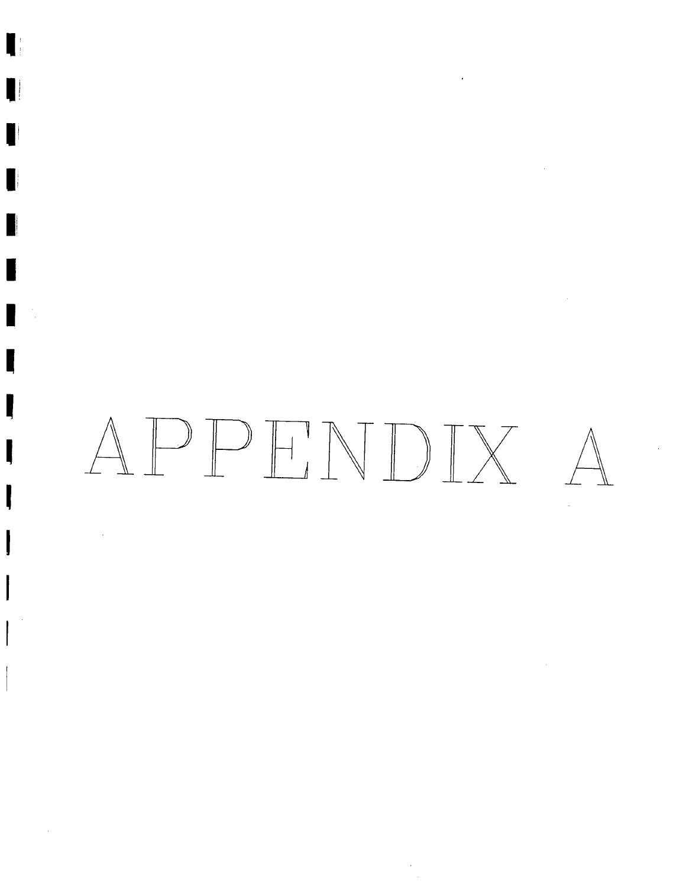# APPHNDIX  $\triangle$

 $\epsilon$ 

ı

H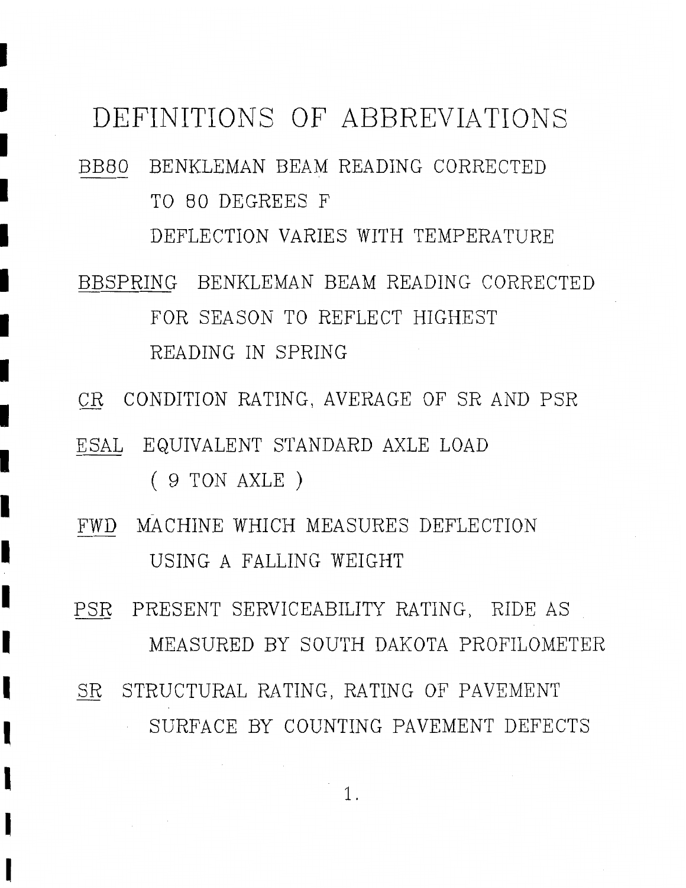# DEFINITIONS OF ABBREVIATIONS

- BB8O BENKLEMAN BEAM READING CORRECTED TO 80 DEGREES F DEFLECTION VARIES WITH TEMPERATURE
- BBSPRING BENKLEMAN BEAM READING CORRECTED FOR SEASON TO REFLECT HIGHEST READING IN SPRING
- CR CONDITION RATING, AVERAGE OF SR AND PSR
- E SAL EQUIVALENT STANDARD AXLE LOAD
	- ( 9 TON AXLE )

I

I

I

I

I

I

- FWD MACHINE WHICH MEASURES DEFLECTION USING A FALLING WEIGHT
- PSR PRESENT SERVICEABILITY RATING, RIDE AS MEASURED BY SOUTH DAKOTA PROFILOMETER SR STRUCTURAL RATING, RATING OF PAVEMENT
	- SURFACE BY COUNTING PAVEMENT DEFECTS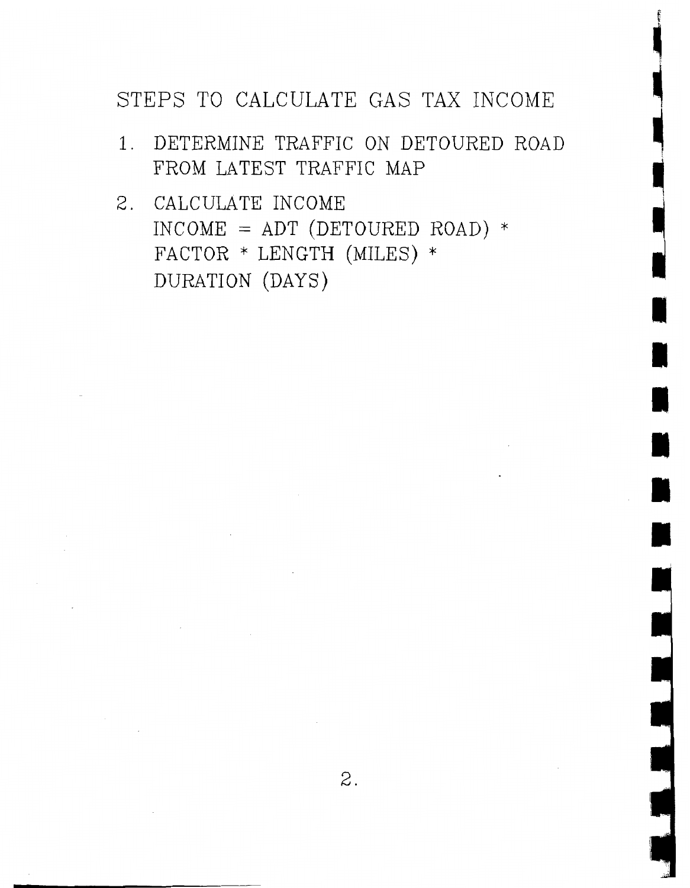# STEPS TO CALCULATE GAS TAX INCOME

- 1. DETERMINE TRAFFIC ON DETOURED ROAD FROM LATEST TRAFFIC MAP
- 2. CALCULATE INCOME  $INCOME = ADT (DETOURED ROAD) *$ FACTOR \* LENGTH (MILES) \* DURATION (DAYS)

 $\sim$ 

 $\label{eq:2.1} \frac{1}{\sqrt{2}}\sum_{i=1}^n\frac{1}{\sqrt{2}}\sum_{i=1}^n\frac{1}{\sqrt{2}}\sum_{i=1}^n\frac{1}{\sqrt{2}}\sum_{i=1}^n\frac{1}{\sqrt{2}}\sum_{i=1}^n\frac{1}{\sqrt{2}}\sum_{i=1}^n\frac{1}{\sqrt{2}}\sum_{i=1}^n\frac{1}{\sqrt{2}}\sum_{i=1}^n\frac{1}{\sqrt{2}}\sum_{i=1}^n\frac{1}{\sqrt{2}}\sum_{i=1}^n\frac{1}{\sqrt{2}}\sum_{i=1}^n\frac$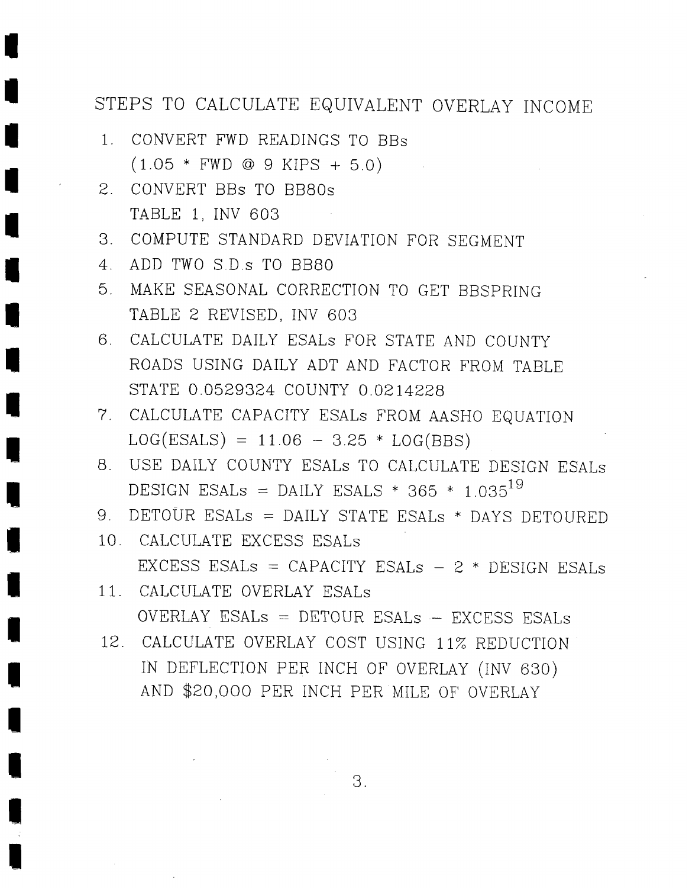# STEPS TO CALCULATE EQUIVALENT OVERLAY INCOME

- 1. CONVERT FWD READINGS TO BBs  $(1.05 * FWD @ 9 KIPS + 5.0)$
- 2. CONVERT BBs TO BB80s TABLE 1, INV 603
- *3.* COMPUTE STANDARD DEVIATION FOR SEGMENT
- 4. ADD TWO S.D.s TO BB80
- 5. MAKE SEASONAL CORRECTION TO GET BBSPRING TABLE 2 REVISED, INV 603
- 6. CALCULATE DAILY ESALs FOR STATE AND COUNTY ROADS USING DAILY ADT AND FACTOR FROM TABLE STATE 0.0529324 COUNTY 0.0214228
- 7. CALCULATE CAPACITY ESALs FROM AASHO EQUATION  $LOG(ESALS) = 11.06 - 3.25 * LOG(BBS)$
- 8. USE DAILY COUNTY ESALs TO CALCULATE DESIGN ESALs DESIGN ESALs = DAILY ESALS \* 365 \* 1.035<sup>19</sup>
- 9. DETOUR ESALs = DAILY STATE ESALs \* DAYS DETOURED
- 10. CALCULATE EXCESS ESALs EXCESS ESALs = CAPACITY ESALs  $-$  2  $*$  DESIGN ESALs
- 11. CALCULATE OVERLAY ESALS OVERLAY ESALS = DETOUR ESALs .- EXCESS ESALs
- 12. CALCULATE OVERLAY COST USING 11% REDUCTION IN DEFLECTION PER INCH OF OVERLAY (INV 630) AND \$20,000 PER INCH PER MILE OF OVERLAY

3.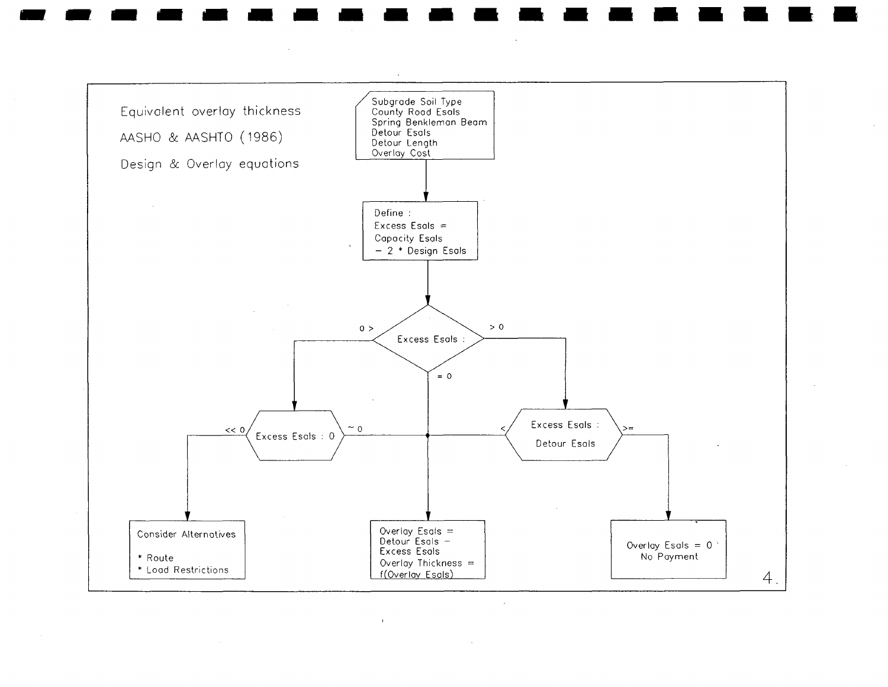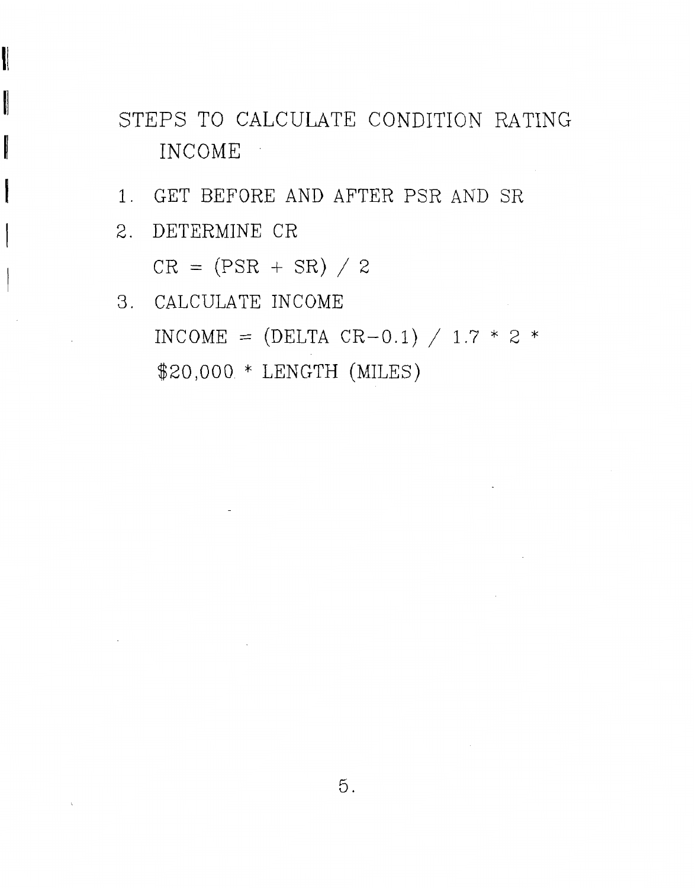STEPS TO CALCULATE CONDITION RATING INCOME

- 1. GET BEFORE AND AFTER PSR AND SR
	- <sup>I</sup>2. DETERMINE CR

 $\ddot{\phantom{a}}$ 

 $CR = (PSR + SR) / 2$ 

3. CALCULATE INCOME INCOME =  $(DELTA CR-0.1) / 1.7 * 2 *$ \$20,000 \* LENGTH (MILES)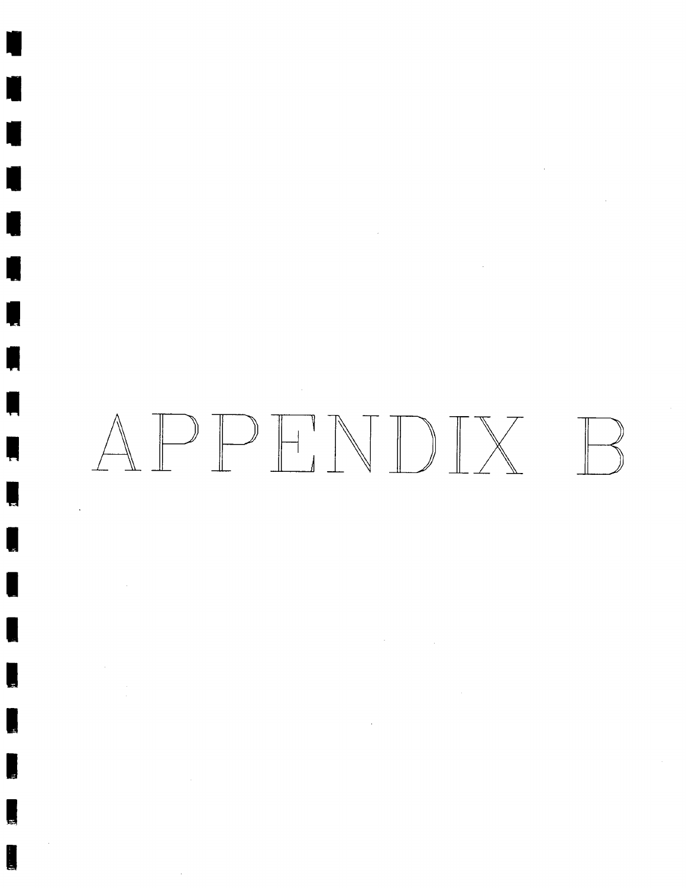# APPHNDIX  $\mathbb{R}$

 $\label{eq:2.1} \frac{1}{\sqrt{2}}\sum_{i=1}^n\frac{1}{\sqrt{2}}\left(\frac{1}{\sqrt{2}}\sum_{i=1}^n\frac{1}{\sqrt{2}}\right)\left(\frac{1}{\sqrt{2}}\sum_{i=1}^n\frac{1}{\sqrt{2}}\right).$ 

 $\sim 10^{11}$ 

 $\bar{z}$ 

 $\sim 10^6$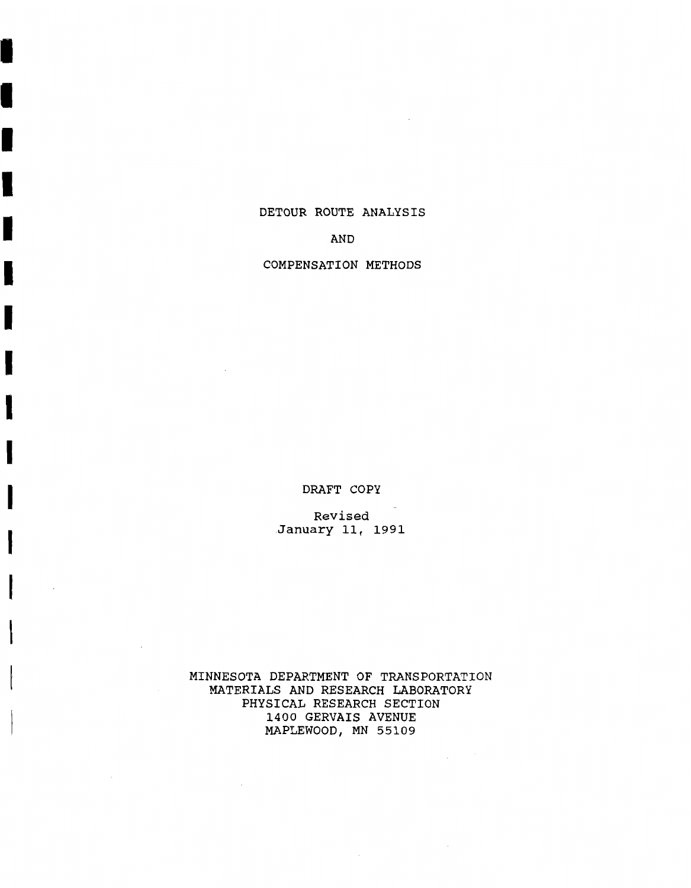#### **DETOUR ROUTE ANALYSIS**

I

I

#### **AND**

#### **COMPENSATION METHODS**

**DRAFT COPY** 

**Revised January 11, 1991** 

**MINNESOTA DEPARTMENT OF TRANSPORTATION MATERIALS AND RESEARCH LABORATORY PHYSICAL RESEARCH SECTION 1400 GERVAIS AVENUE MAPLEWOOD, MN 55109**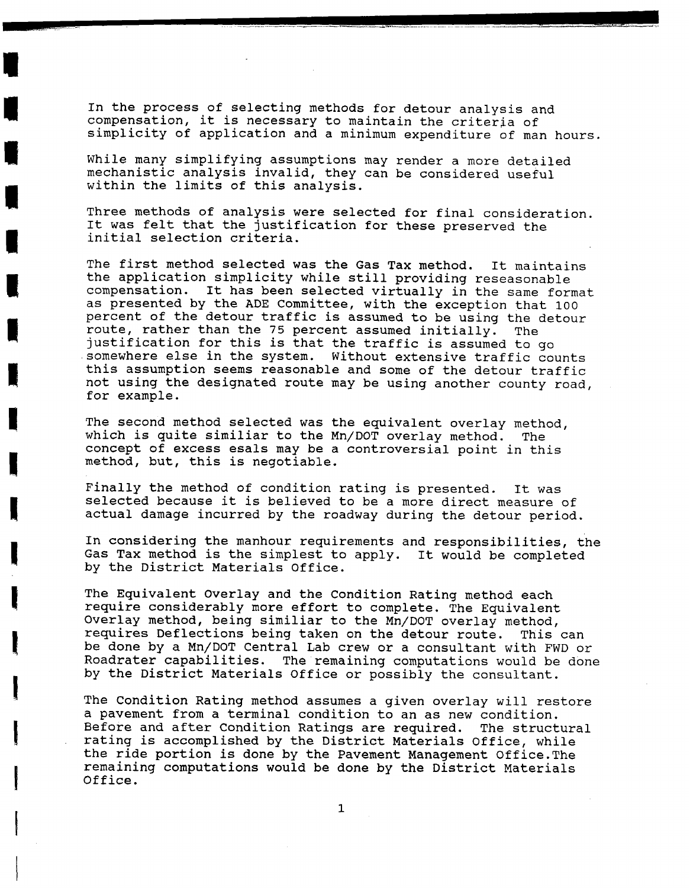In the process of selecting methods for detour analysis and compensation, it is necessary to maintain the criteria of simplicity of application and a minimum expenditure of man hours.

While many simplifying assumptions may render a more detailed mechanistic analysis invalid, they can be considered useful within the limits of this analysis.

Three methods of analysis were selected for final consideration. It was felt that the justification for these preserved the initial selection criteria.

The first method selected was the Gas Tax method. It maintains the application simplicity while still providing reseasonable compensation. It has been selected virtually in the same format as presented by the ADE Committee, with the exception that 100 percent of the detour traffic is assumed to be using the detour route, rather than the 75 percent assumed initially. The justification for this is that the traffic is assumed to go somewhere else in the system. Without extensive traffic counts this assumption seems reasonable and some of the detour traffic not using the designated route may be using another county road, for example.

The second method selected was the equivalent overlay method, which is quite similiar to the Mn/DOT overlay method. The concept of excess esals may be a controversial point in this method, but, this is negotiable.

Finally the method of condition rating is presented. It was selected because it is believed to be a more direct measure of actual damage incurred by the roadway during the detour period.

In considering the manhour requirements and responsibilities, the Gas Tax method is the simplest to apply. It would be completed by the District Materials Office.

The Equivalent Overlay and the Condition Rating method each require considerably more effort to complete. The Equivalent Overlay method, being similiar to the Mn/DOT overlay method, requires Deflections being taken on the detour route. This can be done by a Mn/DOT Central Lab crew or a consultant with FWD or Roadrater capabilities. The remaining computations would be done by the District Materials Office or possibly the consultant.

The condition Rating method assumes a given overlay will restore a pavement from a terminal condition to an as new condition. Before and after Condition Ratings are required. The structural rating is accomplished by the District Materials Office, while the ride portion is done by the Pavement Management 0ffice.The remaining computations would be done by the District Materials Office.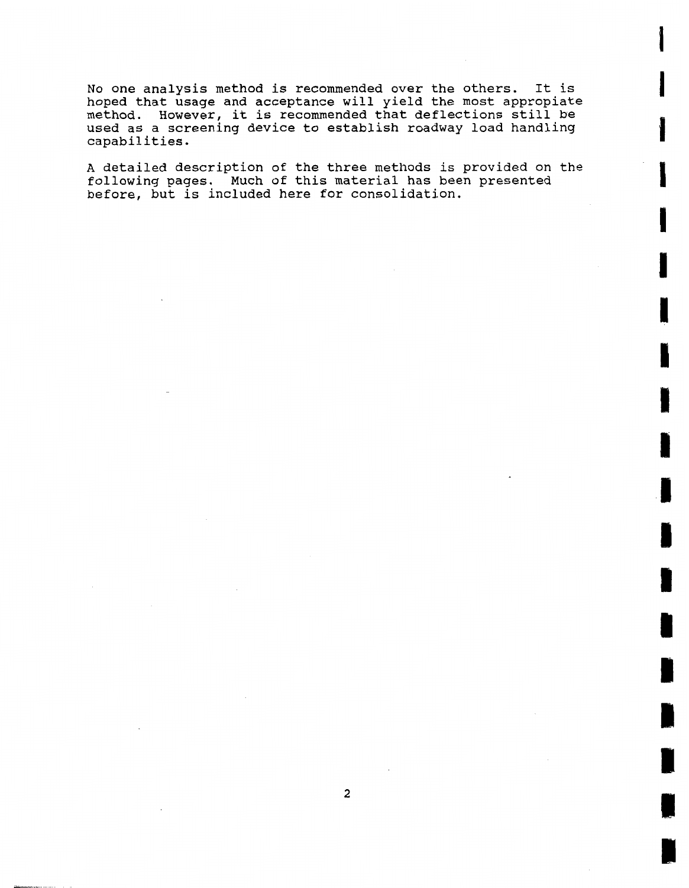No one analysis method is recommended over the others. It is hoped that usage and acceptance will yield the most appropiate method. However, it is recommended that deflections still be used as a screening device to establish roadway load handling capabilities.

A detailed description of the three methods is provided on the following pages. Much of this material has been presented before, but is included here for consolidation.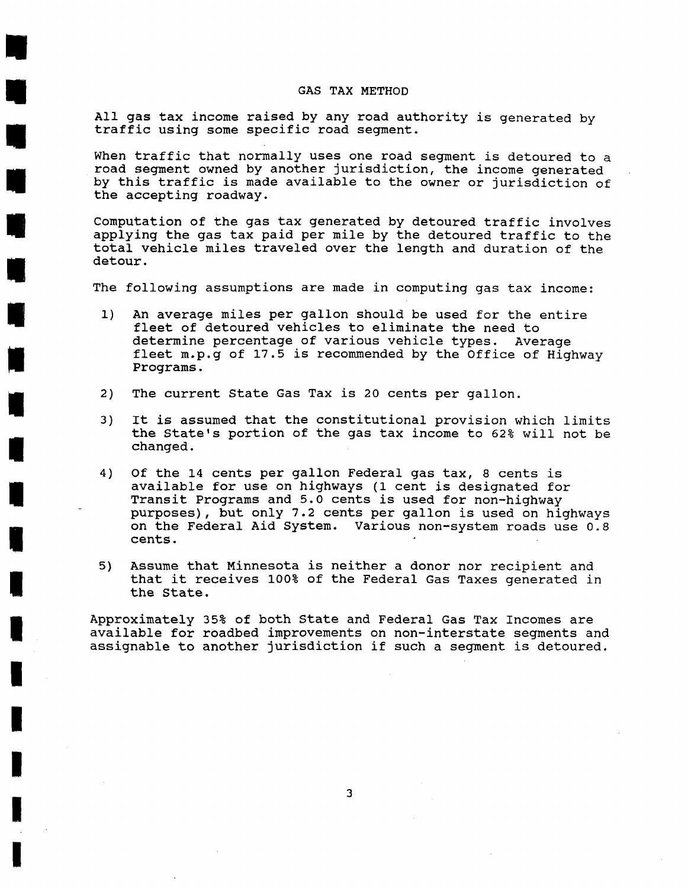#### GAS TAX METHOD

All gas tax income raised by any road authority is generated by traffic using some specific road segment.

When traffic that normally uses one road segment is detoured to a road segment owned by another jurisdiction, the income generated by this traffic is made available to the owner or jurisdiction of the accepting roadway.

Computation of the gas tax generated by detoured traffic involves applying the gas tax paid per mile by the detoured traffic to the total vehicle miles traveled over the length and duration of the detour.

The following assumptions are made in computing gas tax income:

- **1)** An average miles per gallon should be used for the entire fleet of detoured vehicles to eliminate the need to determine percentage of various vehicle types. Average fleet m.p.g of **17.5** is recommended by the Office of Highway Programs.
- **2)** The current State Gas Tax is **20** cents per gallon.
- 3) It is assumed that the constitutional provision which limits the State's portion of the gas tax income to **62%** will not be changed.
- 4) Of the **14** cents per gallon Federal gas tax, **8** cents is available for use on highways **(1** cent is designated for Transit Programs and **5.0** cents is used for non-highway purposes), but only **7.2** cents per gallon is used on highways on the Federal Aid System. Various non-system roads use **0.8**  cents.
- **5)** Assume that Minnesota is neither a donor nor recipient and that it receives **100%** of the Federal Gas Taxes generated in the State.

Approximately **35%** of both State and Federal Gas Tax Incomes are available for roadbed improvements on non-interstate segments and assignable to another jurisdiction if such a segment is detoured.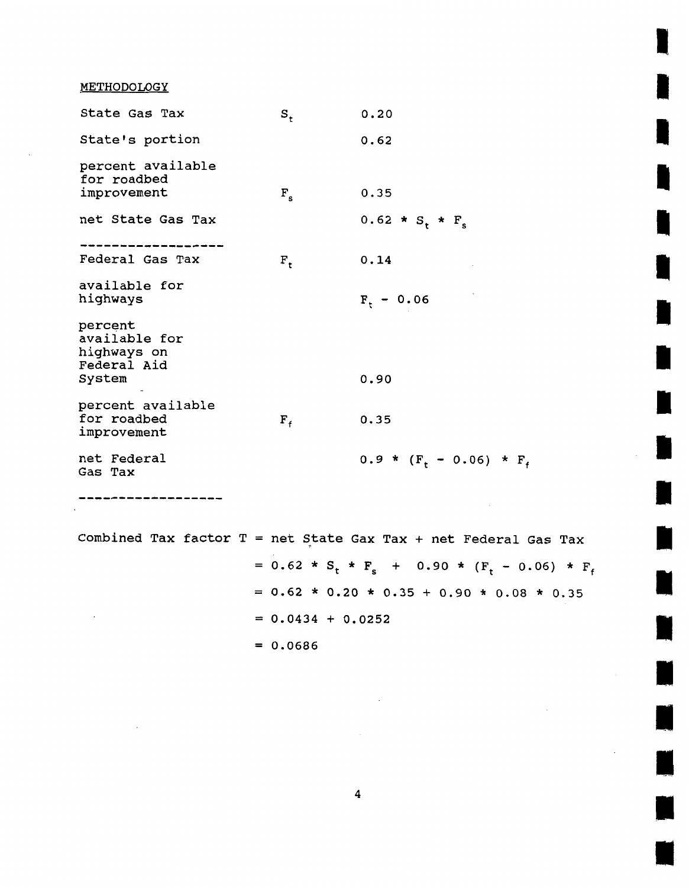METHODOLOGY

| State Gas Tax                                          | $s_{\rm t}$ | 0.20                   |
|--------------------------------------------------------|-------------|------------------------|
| State's portion                                        |             | 0.62                   |
| percent available<br>for roadbed                       |             |                        |
| improvement                                            | $F_{\rm s}$ | 0.35                   |
| net State Gas Tax                                      |             | 0.62 * $S_t$ * $F_s$   |
| Federal Gas Tax                                        | $F_t$       | 0.14                   |
| available for<br>highways                              |             | $F_t$ – 0.06           |
| percent<br>available for<br>highways on<br>Federal Aid |             |                        |
| System                                                 |             | 0.90                   |
| percent available<br>for roadbed<br>improvement        | $F_{f}$     | 0.35                   |
| net Federal<br>Gas Tax                                 |             | $0.9 * (F_t - 0.06) *$ |

------------

 $\mathcal{L}$ 

Combined Tax factor  $T = net$  State Gax Tax + net Federal Gas Tax

=  $0.62 * S_t * F_s$  +  $0.90 * (F_t - 0.06) * F_f$  $= 0.62 * 0.20 * 0.35 + 0.90 * 0.08 * 0.35$  $= 0.0434 + 0.0252$  $= 0.0686$ 

 $F_{f}$ 

 $\mathbb{R}^2$ 

 $\overline{\mathbf{4}}$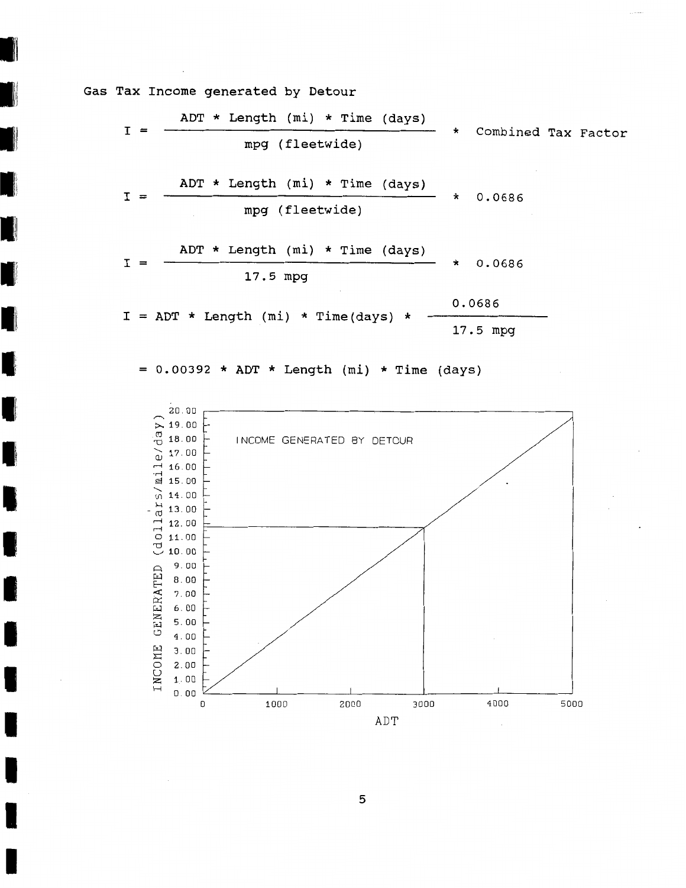**Gas Tax Income generated by Detour** 

$$
I = \frac{ADT * Length (mi) * Time (days)}{mpg (flectwide)}
$$
 \* Combined Tax Factor  
\n
$$
I = \frac{ADT * Length (mi) * Time (days)}{mpg (flectwide)}
$$
 \* 0.0686  
\n
$$
I = \frac{ADT * Length (mi) * Time (days)}{17.5 mpg}
$$
 \* 0.0686  
\n
$$
I = ADT * Length (mi) * Time (days) * \frac{0.0686}{17.5 mpg}
$$

= **0.00392** \* **ADT** \* **Length (mi)** \* **Time (days)** 



 ${\mathbf 5}$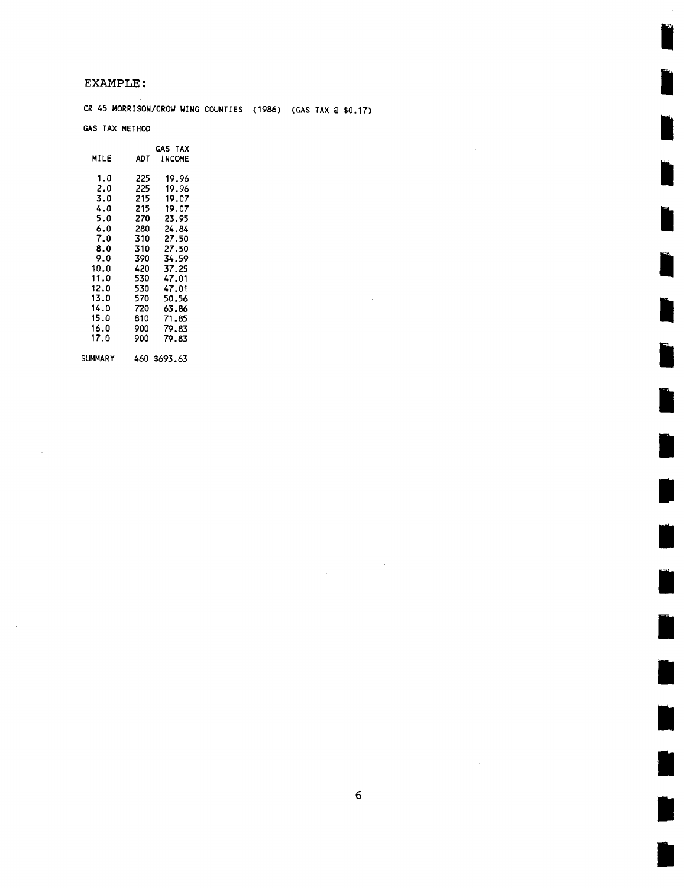#### **EXAMPLE** :

**CR** 45 **MORRISON/CRW UING COUNTIES** (1986) **(GAS TAX** @ \$0.17)

#### **GAS TAX METHOO**

|                |      | <b>GAS TAX</b> |
|----------------|------|----------------|
| MILE           | ADT  | <b>INCOME</b>  |
| 1.0            | 225  | 19.96          |
| 2.0            | -225 | 19.96          |
| 3.0            | 215  | 19.07          |
| 4.0            | 215  | 19.07          |
| 5.0            | 270  | 23.95          |
| 6.0            | 280  | 24.84          |
| 7.0            | 310  | 27.50          |
| 8.0            | 310  | 27.50          |
| 9.0            | 390  | 34.59          |
| 10.0           | 420  | 37.25          |
| 11.0           | 530  | 47.01          |
| 12.0           | 530  | 47.01          |
| 13.0           | 570  | 50.56          |
| 14.0           | 720  | 63.86          |
| 15.0           | 810  | 71.85          |
| 16.0           | 900  | 79.83          |
| 17.0           | 900  | 79.83          |
| <b>SUMMARY</b> |      | 460 \$693.63   |

 $\sim$ 

| ٠            |  |
|--------------|--|
| I            |  |
| ×<br>×<br>۰. |  |

 $\hat{\mathcal{A}}$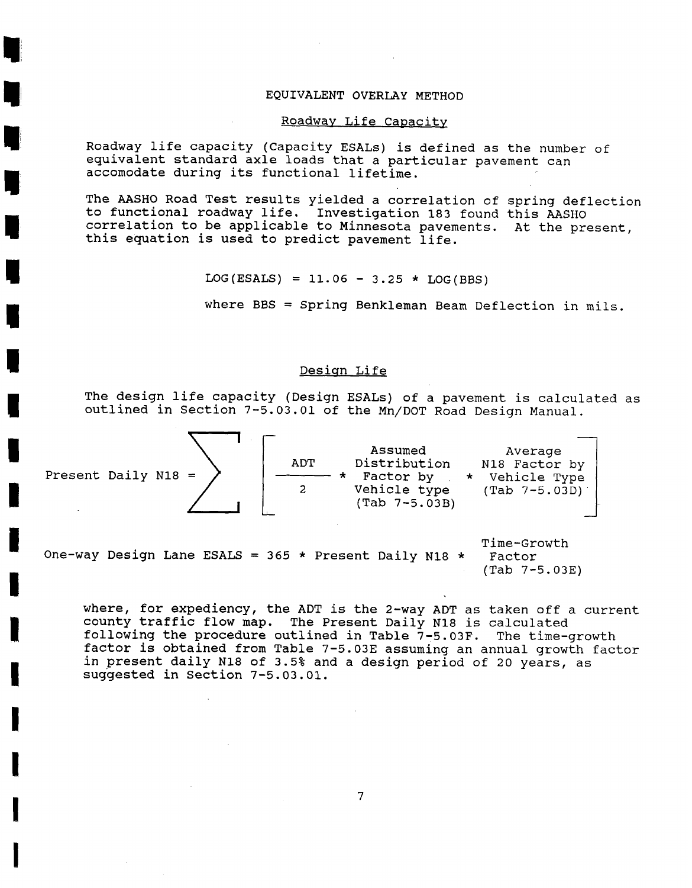#### EQUIVALENT OVERLAY METHOD

#### Roadway Life Capacity

Roadway life capacity (Capacity ESALs) is defined as the number of equivalent standard axle loads that a particular pavement can accomodate during its functional lifetime.

The AASHO Road Test results yielded a correlation of spring deflection to functional roadway life. Investigation 183 found this AASHO correlation to be applicable to Minnesota pavements. At the present, this equation is used to predict pavement life.

 $LOG(ESALS) = 11.06 - 3.25 * LOG(BBS)$ 

where BBS = Spring Benkleman Beam Deflection in mils.

#### Desiqn Life

The design life capacity (Design ESALs) of a pavement is calculated as



Time-Growth One-way Design Lane ESALS = 365 \* Present Daily N18 \* (Tab 7-5.03E)

where, for expediency, the ADT is the 2-way ADT as taken off a current county traffic flow map. The Present Daily N18 is calculated<br>following the procedure outlined in Table 7-5.03F. The time-growth following the procedure outlined in Table  $7-5.03F$ . factor is obtained from Table 7-5.03E assuming an annual growth factor in present daily N18 of 3.5% and a design period of 20 years, as suggested in Section 7-5.03.01.

 $\overline{7}$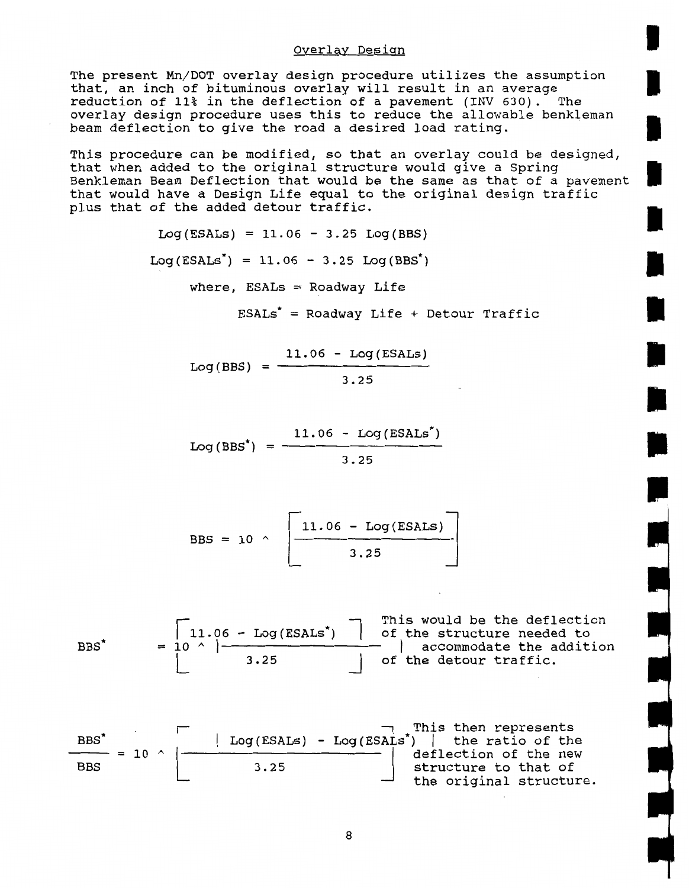#### Overlay Design

The present Mn/DOT overlay design procedure utilizes the assumption that, an inch of bituminous overlay will result in an average reduction of 11% in the deflection of a pavement (INV 630). The overlay design procedure uses this to reduce the allowable benkleman beam deflection to give the road a desired load rating.

This procedure can be modified, so that an overlay could be designed, that when added to the original structure would give a Spring Benkleman Beam Deflection that would be the same as that of a pavement that would have a Design Life equal to the original design traffic plus that of the added detour traffic.

 $Log(ESALS) = 11.06 - 3.25 Log(BBS)$ 

 $Log(ESALS^*) = 11.06 - 3.25 Log(BBS^*)$ 

where,  $ESALS = Roadway$  Life

 $ESALS^* = Roadway$  Life + Detour Traffic

$$
Log(BBS) = \frac{11.06 - Log(ESALS)}{3.25}
$$

$$
Log(BBS^*) = \frac{11.06 - Log(ESALS^*)}{3.25}
$$

$$
BBS = 10 \sim \left[\frac{11.06 - \text{Log}(\text{ESALS})}{3.25}\right]
$$

BBS\* = 
$$
\begin{array}{|c|c|c|c|c|}\n\hline\n11.06 - Log(ESALS^*) & \text{This would be the deflection of the structure needed to accommodate the addition of the detour traffic.}\n\hline\n3.25 & \text{of the detour traffic.}\n\hline\n\end{array}
$$

- - - -. - - the original structure.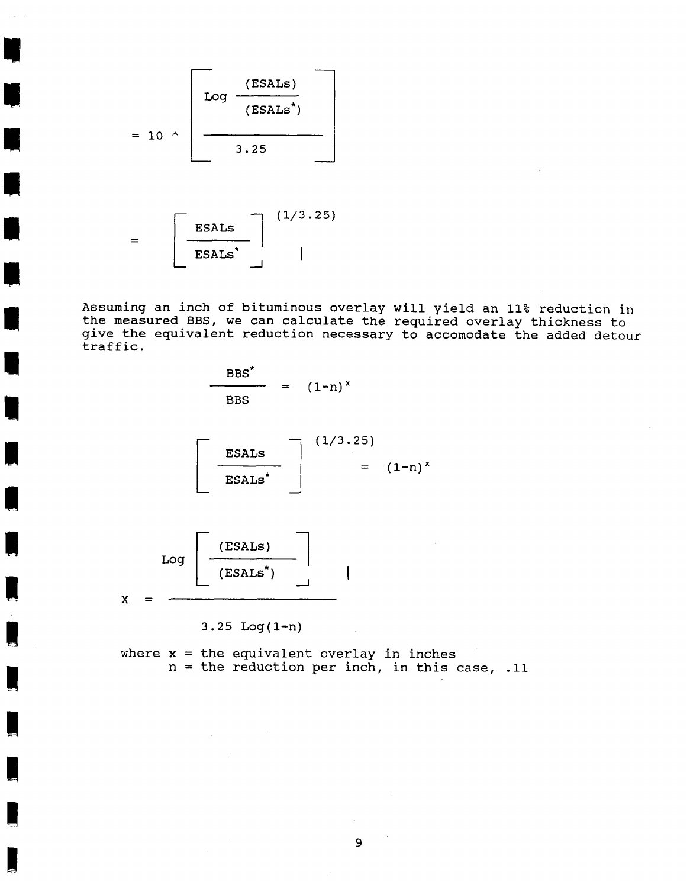$$
= 10 \text{ A } \frac{\text{(ESALS)}}{\text{Log } \frac{(\text{ESALS}^*)}{3.25}}
$$

ESALs<sup>\*</sup>

**Assuming an inch of bituminous overlay will yield an 11% reduction in the measured BBS, we can calculate the required overlay thickness to give the equivalent reduction necessary to accomodate the added detour traffic.** 

$$
\frac{\text{BBS}^*}{\text{BBS}} = (1-n)^x
$$

 $\overline{\phantom{a}}$ 

$$
\begin{bmatrix}\nESALS \\
ESALS^*\n\end{bmatrix}\n\begin{bmatrix}\n(1/3.25) \\
= (1-n)^x\n\end{bmatrix}
$$



 $3.25$  Log(1-n)

**where x** = **the equivalent overlay in inches n** = **the reduction per inch, in this case, .11**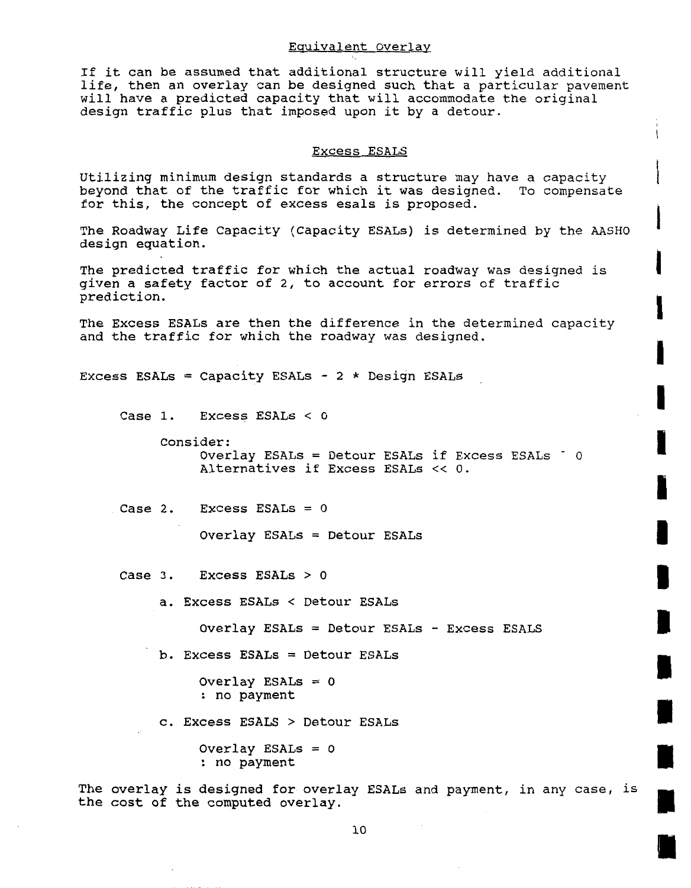#### Eauivalent Overlay

If it can be assumed that additional structure will yield additional life, then an overlay can be designed such that a particular pavement will have a predicted capacity that will accommodate the original design traffic plus that imposed upon it by a detour.

#### Excess ESALS

Utilizing minimum design standards a structure may have a capacity beyond that of the traffic for which it was designed. To compensate for this, the concept of excess esals is proposed.

The Roadway Life Capacity (Capacity ESALs) is determined by the AASHO design equation.

The predicted traffic for which the actual roadway was designed is given a safety factor of 2, to account for errors of traffic prediction.

The Excess ESALs are then the difference in the determined capacity and the traffic for which the roadway was designed.

```
Excess ESALs = Capacity ESALs - 2 * Design ESALs
```

```
Case 1. Excess ESALs < 0
```
Consider: Overlay ESALs = Detour ESALs if Excess ESALs ' <sup>0</sup> Alternatives if Excess ESALs << 0.

Case 2. Excess ESALs = **0** 

Overlay ESALs = Detour ESALs

```
Case 3. Excess ESALs > 0
```
a. Excess ESALs < Detour ESALs

Overlay ESALs = Detour ESALs - Excess ESALS

b. Excess ESALs = Detour ESALs

Overlay ESALs = **0**  : no payment

c. Excess ESALS > Detour ESALs

Overlay ESALs = **0**  : no payment

The overlay is designed for overlay ESALs and payment, in any case, is the cost of the computed overlay.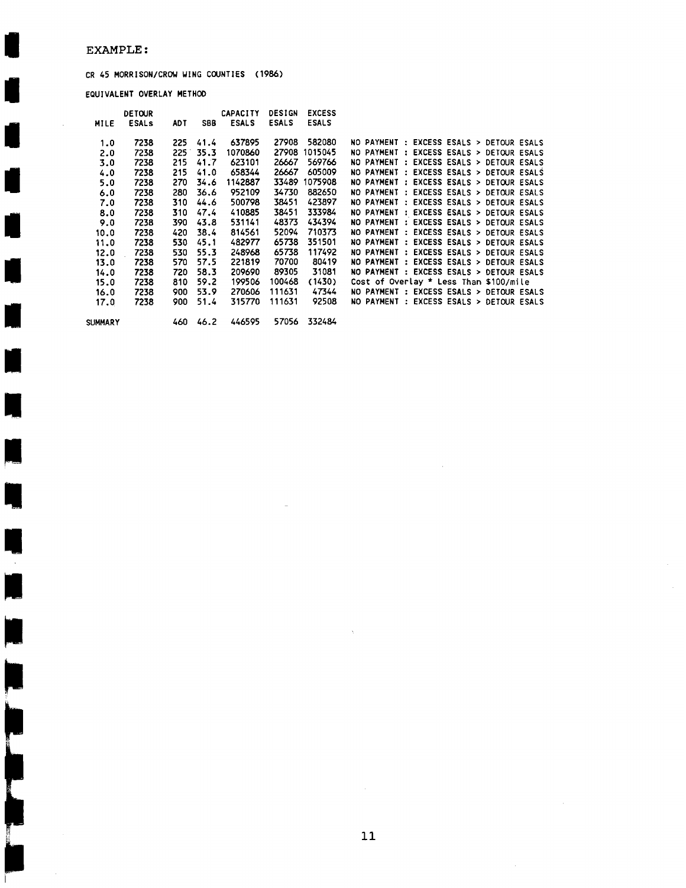#### **EXAMPLE** :

 $\overline{\phantom{a}}$ 

 $\overline{\phantom{a}}$ 

 $\overline{\phantom{a}}$ 

 $\overline{\phantom{a}}$ 

ļ

Ë

 $\bar{\mathcal{A}}$ 

#### CR 45 MORRISON/CROU WING COUNTIES (1986)

EQUIVALENT OVERLAY METHOD

|         | <b>DETOUR</b> |            |            | <b>CAPACITY</b> | <b>DESIGN</b> | <b>EXCESS</b> |                                          |
|---------|---------------|------------|------------|-----------------|---------------|---------------|------------------------------------------|
| MILE    | <b>ESALS</b>  | <b>ADT</b> | <b>SBB</b> | <b>ESALS</b>    | <b>ESALS</b>  | <b>ESALS</b>  |                                          |
| 1.0     | 7238          | 225        | 41.4       | 637895          | 27908         | 582080        | NO PAYMENT : EXCESS ESALS > DETOUR ESALS |
| 2.0     | 7238          | 225        | 35.3       | 1070860         | 27908         | 1015045       | NO PAYMENT : EXCESS ESALS > DETOUR ESALS |
| 3.0     | 7238          | 215        | 41.7       | 623101          | 26667         | 569766        | NO PAYMENT : EXCESS ESALS > DETOUR ESALS |
| 4.0     | 7238          | 215        | 41.0       | 658344          | 26667         | 605009        | NO PAYMENT : EXCESS ESALS > DETOUR ESALS |
| 5.0     | 7238          | 270        | 34.6       | 1142887         | 33489         | 1075908       | NO PAYMENT : EXCESS ESALS > DETOUR ESALS |
| 6.0     | 7238          | 280        | 36.6       | 952109          | 34730         | 882650        | NO PAYMENT : EXCESS ESALS > DETOUR ESALS |
| 7.0     | 7238          | 310        | 44.6       | 500798          | 38451         | 423897        | NO PAYMENT : EXCESS ESALS > DETOUR ESALS |
| 8.0     | 7238          | 310        | 47.4       | 410885          | 38451         | 333984        | NO PAYMENT : EXCESS ESALS > DETOUR ESALS |
| 9.0     | 7238          | 390        | 43.8       | 531141          | 48373         | 434394        | NO PAYMENT : EXCESS ESALS > DETOUR ESALS |
| 10.0    | 7238          | 420        | 38.4       | 814561          | 52094         | 710373        | NO PAYMENT : EXCESS ESALS > DETOUR ESALS |
| 11.0    | 7238          | 530        | 45.1       | 482977          | 65738         | 351501        | NO PAYMENT : EXCESS ESALS > DETOUR ESALS |
| 12.0    | 7238          | 530        | 55.3       | 248968          | 65738         | 117492        | NO PAYMENT : EXCESS ESALS > DETOUR ESALS |
| 13.0    | 7238          | 570        | 57.5       | 221819          | 70700         | 80419         | NO PAYMENT : EXCESS ESALS > DETOUR ESALS |
| 14.0    | 7238          | 720        | 58.3       | 209690          | 89305         | 31081         | NO PAYMENT : EXCESS ESALS > DETOUR ESALS |
| 15.0    | 7238          | 810        | 59.2       | 199506          | 100468        | (1430)        | Cost of Overlay $*$ Less Than \$100/mile |
| 16.0    | 7238          | 900        | 53.9       | 270606          | 111631        | 47344         | NO PAYMENT : EXCESS ESALS > DETOUR ESALS |
| 17.0    | 7238          | 900        | 51.4       | 315770          | 111631        | 92508         | NO PAYMENT : EXCESS ESALS > DETOUR ESALS |
| SUMMARY |               | 460        | 46.2       | 446595          | 57056         | 332484        |                                          |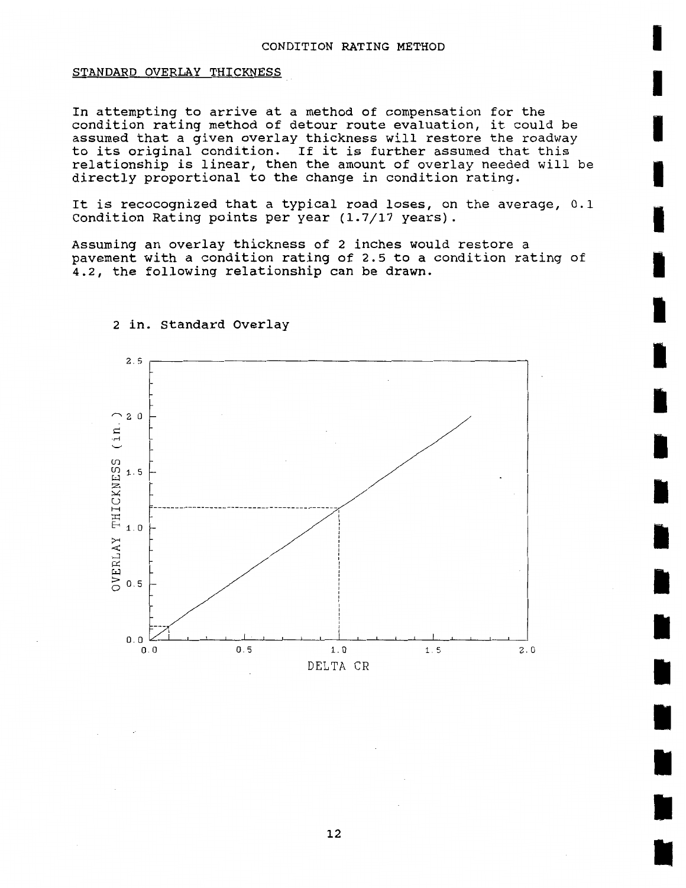#### STANDARD OVERLAY THICKNESS

In attempting to arrive at a method of compensation for the condition rating method of detour route evaluation, it could be assumed that a given overlay thickness will restore the roadway to its original condition. If it is further assumed that this relationship is linear, then the amount of overlay needed will be directly proportional to the change in condition rating.

It is recocognized that a typical road loses, on the average, 0.1 condition Rating points per year **(1.7/17** years).

Assuming an overlay thickness of 2 inches would restore a pavement with a condition rating of 2.5 to a condition rating of 4.2, the following relationship can be drawn.



#### **2** in. Standard Overlay